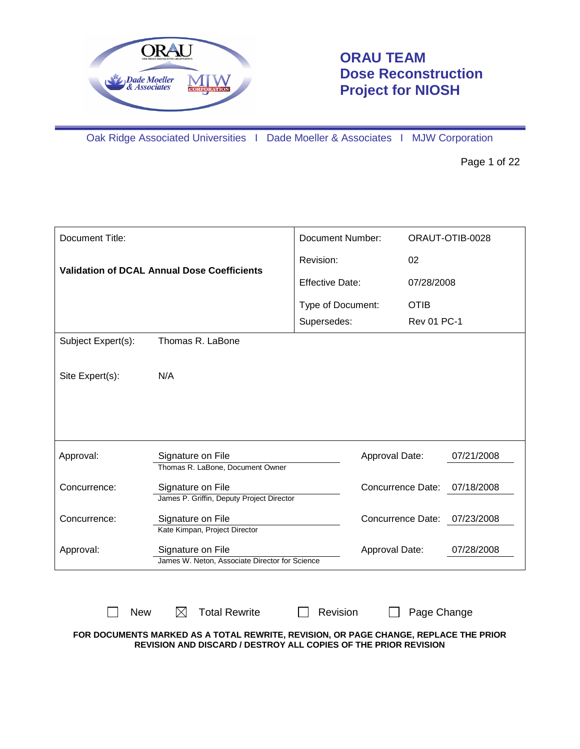

# **ORAU TEAM Dose Reconstruction Project for NIOSH**

Oak Ridge Associated Universities I Dade Moeller & Associates I MJW Corporation

Page 1 of 22

| Document Title:    |                                                                     | Document Number:       |                              | ORAUT-OTIB-0028 |  |
|--------------------|---------------------------------------------------------------------|------------------------|------------------------------|-----------------|--|
|                    | <b>Validation of DCAL Annual Dose Coefficients</b>                  | Revision:              | 02                           |                 |  |
|                    |                                                                     | <b>Effective Date:</b> | 07/28/2008                   |                 |  |
|                    |                                                                     | Type of Document:      | <b>OTIB</b>                  |                 |  |
|                    |                                                                     | Supersedes:            | <b>Rev 01 PC-1</b>           |                 |  |
| Subject Expert(s): | Thomas R. LaBone                                                    |                        |                              |                 |  |
|                    |                                                                     |                        |                              |                 |  |
| Site Expert(s):    | N/A                                                                 |                        |                              |                 |  |
|                    |                                                                     |                        |                              |                 |  |
|                    |                                                                     |                        |                              |                 |  |
|                    |                                                                     |                        |                              |                 |  |
| Approval:          | Signature on File<br>Thomas R. LaBone, Document Owner               |                        | Approval Date:               | 07/21/2008      |  |
| Concurrence:       | Signature on File                                                   |                        | <b>Concurrence Date:</b>     | 07/18/2008      |  |
|                    | James P. Griffin, Deputy Project Director                           |                        |                              |                 |  |
| Concurrence:       | Signature on File                                                   |                        | Concurrence Date:            | 07/23/2008      |  |
|                    | Kate Kimpan, Project Director                                       |                        |                              |                 |  |
| Approval:          | Signature on File<br>James W. Neton, Associate Director for Science |                        | Approval Date:<br>07/28/2008 |                 |  |
|                    |                                                                     |                        |                              |                 |  |

 $\Box$  New  $\boxtimes$  Total Rewrite  $\Box$  Revision  $\Box$  Page Change **FOR DOCUMENTS MARKED AS A TOTAL REWRITE, REVISION, OR PAGE CHANGE, REPLACE THE PRIOR REVISION AND DISCARD / DESTROY ALL COPIES OF THE PRIOR REVISION**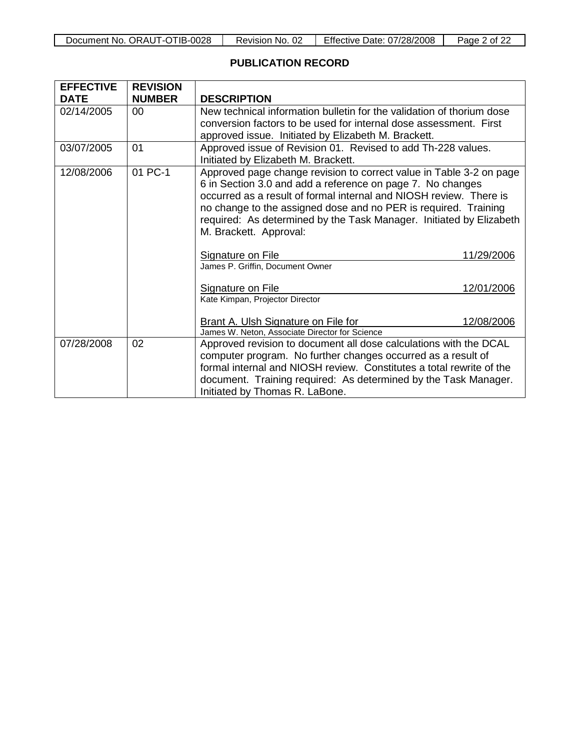| Document No. ORAUT-OTIB-0028 | Revision No. | <b>Effective Date: 07/28/2008</b> | Page 2 of $zz$ |
|------------------------------|--------------|-----------------------------------|----------------|
|------------------------------|--------------|-----------------------------------|----------------|

### **PUBLICATION RECORD**

| <b>EFFECTIVE</b> | <b>REVISION</b> |                                                                       |
|------------------|-----------------|-----------------------------------------------------------------------|
| <b>DATE</b>      | <b>NUMBER</b>   | <b>DESCRIPTION</b>                                                    |
| 02/14/2005       | $00 \,$         | New technical information bulletin for the validation of thorium dose |
|                  |                 | conversion factors to be used for internal dose assessment. First     |
|                  |                 | approved issue. Initiated by Elizabeth M. Brackett.                   |
| 03/07/2005       | 01              | Approved issue of Revision 01. Revised to add Th-228 values.          |
|                  |                 | Initiated by Elizabeth M. Brackett.                                   |
| 12/08/2006       | 01 PC-1         | Approved page change revision to correct value in Table 3-2 on page   |
|                  |                 | 6 in Section 3.0 and add a reference on page 7. No changes            |
|                  |                 | occurred as a result of formal internal and NIOSH review. There is    |
|                  |                 | no change to the assigned dose and no PER is required. Training       |
|                  |                 | required: As determined by the Task Manager. Initiated by Elizabeth   |
|                  |                 | M. Brackett. Approval:                                                |
|                  |                 |                                                                       |
|                  |                 | Signature on File<br>11/29/2006                                       |
|                  |                 | James P. Griffin, Document Owner                                      |
|                  |                 | 12/01/2006<br><b>Signature on File</b>                                |
|                  |                 | Kate Kimpan, Projector Director                                       |
|                  |                 |                                                                       |
|                  |                 | Brant A. Ulsh Signature on File for<br>12/08/2006                     |
|                  |                 | James W. Neton. Associate Director for Science                        |
| 07/28/2008       | 02              | Approved revision to document all dose calculations with the DCAL     |
|                  |                 | computer program. No further changes occurred as a result of          |
|                  |                 | formal internal and NIOSH review. Constitutes a total rewrite of the  |
|                  |                 | document. Training required: As determined by the Task Manager.       |
|                  |                 | Initiated by Thomas R. LaBone.                                        |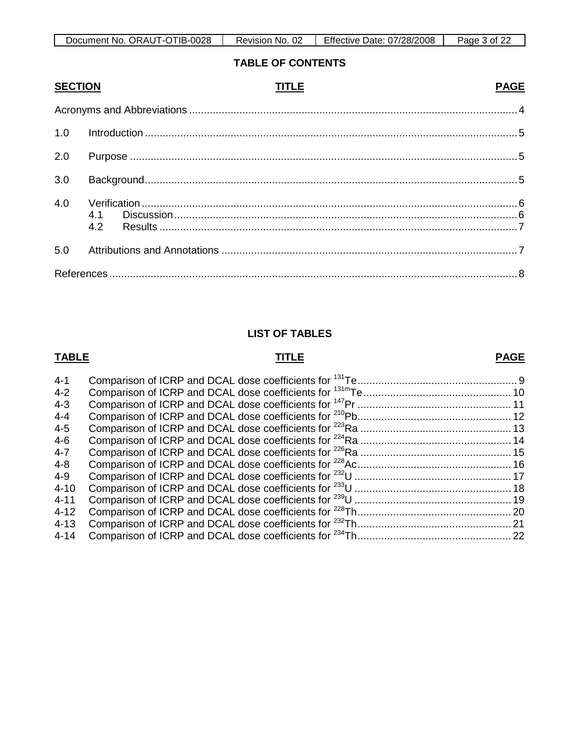| TIB-0028<br>. ORAUT-OT<br>Document No. | 02<br>No.<br>Revision | Effective Date: 07/28/2008 | Page<br>ot. |
|----------------------------------------|-----------------------|----------------------------|-------------|

### **TABLE OF CONTENTS**

| <b>SECTION</b> | <b>TITLE</b> | <b>PAGE</b> |
|----------------|--------------|-------------|
|                |              |             |
| 1.0            |              |             |
| 2.0            |              |             |
| 3.0            |              |             |
| 4.0            |              |             |
| 5.0            |              |             |
|                |              |             |

### **LIST OF TABLES**

# **TABLE TITLE**

## **PAGE**

| $4 - 1$  |  |
|----------|--|
| $4 - 2$  |  |
| $4 - 3$  |  |
| $4 - 4$  |  |
| $4 - 5$  |  |
| $4-6$    |  |
| $4 - 7$  |  |
| $4 - 8$  |  |
| $4 - 9$  |  |
| $4 - 10$ |  |
| $4 - 11$ |  |
| $4 - 12$ |  |
| $4 - 13$ |  |
| $4 - 14$ |  |
|          |  |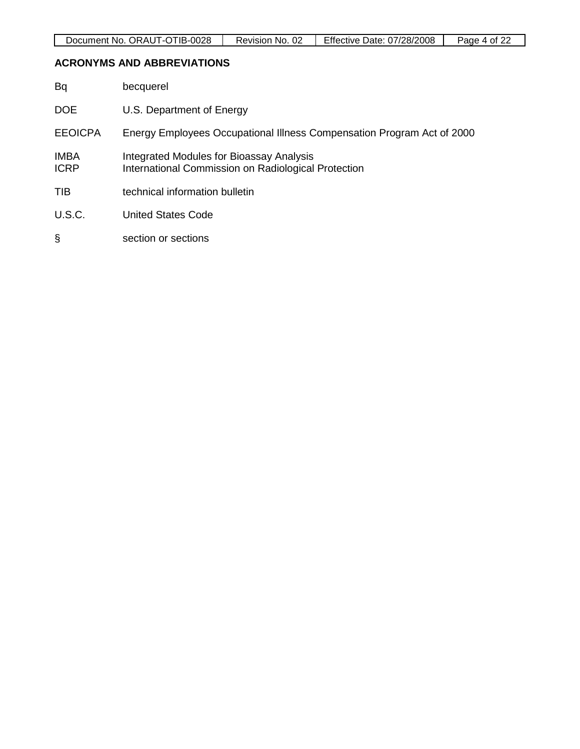### **ACRONYMS AND ABBREVIATIONS**

| Bq                         | becquerel                                                                                       |
|----------------------------|-------------------------------------------------------------------------------------------------|
| <b>DOE</b>                 | U.S. Department of Energy                                                                       |
| <b>EEOICPA</b>             | Energy Employees Occupational Illness Compensation Program Act of 2000                          |
| <b>IMBA</b><br><b>ICRP</b> | Integrated Modules for Bioassay Analysis<br>International Commission on Radiological Protection |
| <b>TIB</b>                 | technical information bulletin                                                                  |
| U.S.C.                     | United States Code                                                                              |
| ş                          | section or sections                                                                             |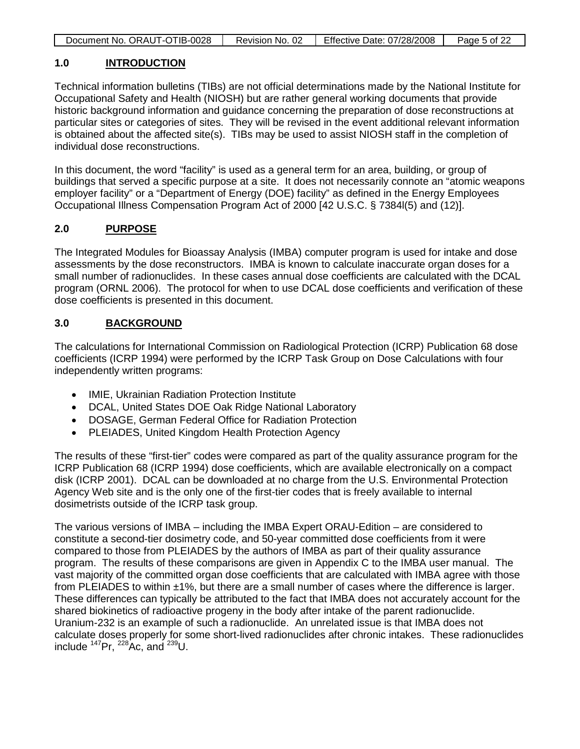|  | Document No. ORAUT-OTIB-0028 | Revision No. 02 | Effective Date: 07/28/2008 | Page 5 of 22 |
|--|------------------------------|-----------------|----------------------------|--------------|
|--|------------------------------|-----------------|----------------------------|--------------|

#### **1.0 INTRODUCTION**

Technical information bulletins (TIBs) are not official determinations made by the National Institute for Occupational Safety and Health (NIOSH) but are rather general working documents that provide historic background information and guidance concerning the preparation of dose reconstructions at particular sites or categories of sites. They will be revised in the event additional relevant information is obtained about the affected site(s). TIBs may be used to assist NIOSH staff in the completion of individual dose reconstructions.

In this document, the word "facility" is used as a general term for an area, building, or group of buildings that served a specific purpose at a site. It does not necessarily connote an "atomic weapons employer facility" or a "Department of Energy (DOE) facility" as defined in the Energy Employees Occupational Illness Compensation Program Act of 2000 [42 U.S.C. § 7384l(5) and (12)].

#### **2.0 PURPOSE**

The Integrated Modules for Bioassay Analysis (IMBA) computer program is used for intake and dose assessments by the dose reconstructors. IMBA is known to calculate inaccurate organ doses for a small number of radionuclides. In these cases annual dose coefficients are calculated with the DCAL program (ORNL 2006). The protocol for when to use DCAL dose coefficients and verification of these dose coefficients is presented in this document.

#### **3.0 BACKGROUND**

The calculations for International Commission on Radiological Protection (ICRP) Publication 68 dose coefficients (ICRP 1994) were performed by the ICRP Task Group on Dose Calculations with four independently written programs:

- IMIE, Ukrainian Radiation Protection Institute
- DCAL, United States DOE Oak Ridge National Laboratory
- DOSAGE, German Federal Office for Radiation Protection
- PLEIADES, United Kingdom Health Protection Agency

The results of these "first-tier" codes were compared as part of the quality assurance program for the ICRP Publication 68 (ICRP 1994) dose coefficients, which are available electronically on a compact disk (ICRP 2001). DCAL can be downloaded at no charge from the U.S. Environmental Protection Agency Web site and is the only one of the first-tier codes that is freely available to internal dosimetrists outside of the ICRP task group.

The various versions of IMBA – including the IMBA Expert ORAU-Edition – are considered to constitute a second-tier dosimetry code, and 50-year committed dose coefficients from it were compared to those from PLEIADES by the authors of IMBA as part of their quality assurance program. The results of these comparisons are given in Appendix C to the IMBA user manual. The vast majority of the committed organ dose coefficients that are calculated with IMBA agree with those from PLEIADES to within ±1%, but there are a small number of cases where the difference is larger. These differences can typically be attributed to the fact that IMBA does not accurately account for the shared biokinetics of radioactive progeny in the body after intake of the parent radionuclide. Uranium-232 is an example of such a radionuclide. An unrelated issue is that IMBA does not calculate doses properly for some short-lived radionuclides after chronic intakes. These radionuclides include  $^{147}$ Pr,  $^{228}$ Ac, and  $^{239}$ U.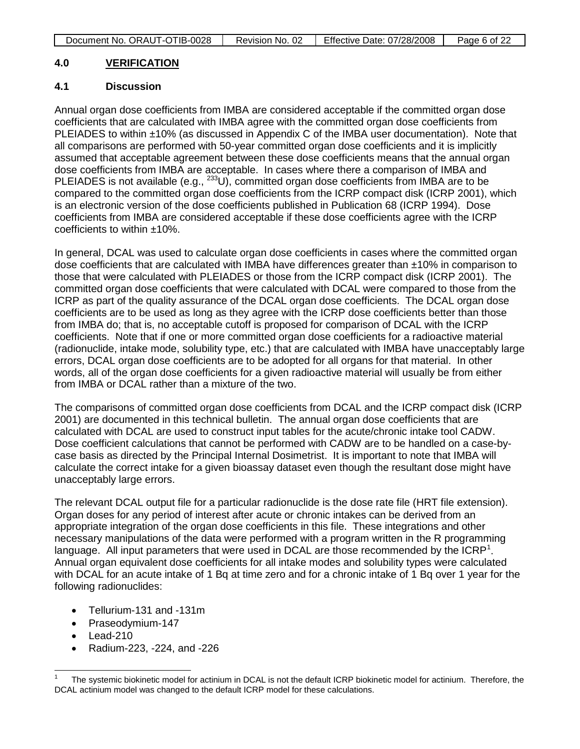#### **4.0 VERIFICATION**

### **4.1 Discussion**

Annual organ dose coefficients from IMBA are considered acceptable if the committed organ dose coefficients that are calculated with IMBA agree with the committed organ dose coefficients from PLEIADES to within ±10% (as discussed in Appendix C of the IMBA user documentation). Note that all comparisons are performed with 50-year committed organ dose coefficients and it is implicitly assumed that acceptable agreement between these dose coefficients means that the annual organ dose coefficients from IMBA are acceptable. In cases where there a comparison of IMBA and PLEIADES is not available (e.g., <sup>233</sup>U), committed organ dose coefficients from IMBA are to be compared to the committed organ dose coefficients from the ICRP compact disk (ICRP 2001), which is an electronic version of the dose coefficients published in Publication 68 (ICRP 1994). Dose coefficients from IMBA are considered acceptable if these dose coefficients agree with the ICRP coefficients to within ±10%.

In general, DCAL was used to calculate organ dose coefficients in cases where the committed organ dose coefficients that are calculated with IMBA have differences greater than ±10% in comparison to those that were calculated with PLEIADES or those from the ICRP compact disk (ICRP 2001). The committed organ dose coefficients that were calculated with DCAL were compared to those from the ICRP as part of the quality assurance of the DCAL organ dose coefficients. The DCAL organ dose coefficients are to be used as long as they agree with the ICRP dose coefficients better than those from IMBA do; that is, no acceptable cutoff is proposed for comparison of DCAL with the ICRP coefficients. Note that if one or more committed organ dose coefficients for a radioactive material (radionuclide, intake mode, solubility type, etc.) that are calculated with IMBA have unacceptably large errors, DCAL organ dose coefficients are to be adopted for all organs for that material. In other words, all of the organ dose coefficients for a given radioactive material will usually be from either from IMBA or DCAL rather than a mixture of the two.

The comparisons of committed organ dose coefficients from DCAL and the ICRP compact disk (ICRP 2001) are documented in this technical bulletin. The annual organ dose coefficients that are calculated with DCAL are used to construct input tables for the acute/chronic intake tool CADW. Dose coefficient calculations that cannot be performed with CADW are to be handled on a case-bycase basis as directed by the Principal Internal Dosimetrist. It is important to note that IMBA will calculate the correct intake for a given bioassay dataset even though the resultant dose might have unacceptably large errors.

The relevant DCAL output file for a particular radionuclide is the dose rate file (HRT file extension). Organ doses for any period of interest after acute or chronic intakes can be derived from an appropriate integration of the organ dose coefficients in this file. These integrations and other necessary manipulations of the data were performed with a program written in the R programming language. All input parameters that were used in DCAL are those recommended by the  $ICRP<sup>1</sup>$  $ICRP<sup>1</sup>$  $ICRP<sup>1</sup>$ . Annual organ equivalent dose coefficients for all intake modes and solubility types were calculated with DCAL for an acute intake of 1 Bq at time zero and for a chronic intake of 1 Bq over 1 year for the following radionuclides:

- Tellurium-131 and -131m
- Praseodymium-147
- Lead-210
- Radium-223, -224, and -226

<span id="page-5-0"></span>The systemic biokinetic model for actinium in DCAL is not the default ICRP biokinetic model for actinium. Therefore, the DCAL actinium model was changed to the default ICRP model for these calculations.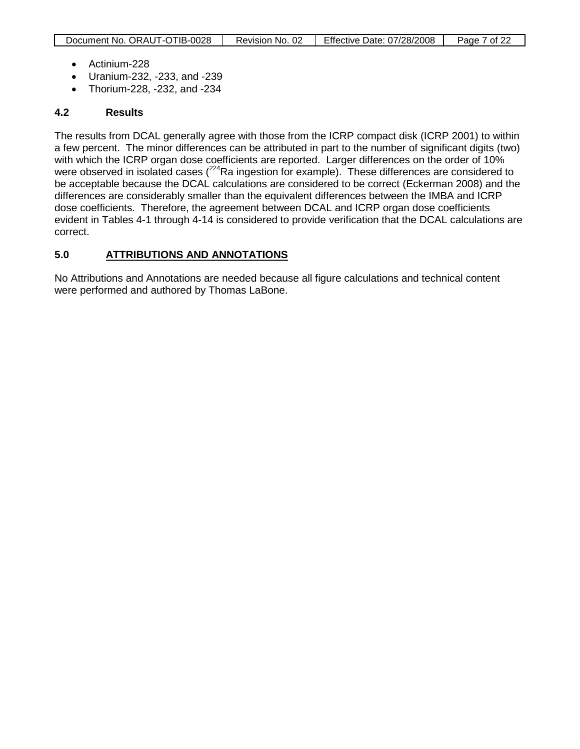- Actinium-228
- Uranium-232, -233, and -239
- Thorium-228, -232, and -234

### **4.2 Results**

The results from DCAL generally agree with those from the ICRP compact disk (ICRP 2001) to within a few percent. The minor differences can be attributed in part to the number of significant digits (two) with which the ICRP organ dose coefficients are reported. Larger differences on the order of 10% were observed in isolated cases  $(^{224}Ra$  ingestion for example). These differences are considered to be acceptable because the DCAL calculations are considered to be correct (Eckerman 2008) and the differences are considerably smaller than the equivalent differences between the IMBA and ICRP dose coefficients. Therefore, the agreement between DCAL and ICRP organ dose coefficients evident in Tables 4-1 through 4-14 is considered to provide verification that the DCAL calculations are correct.

### **5.0 ATTRIBUTIONS AND ANNOTATIONS**

No Attributions and Annotations are needed because all figure calculations and technical content were performed and authored by Thomas LaBone.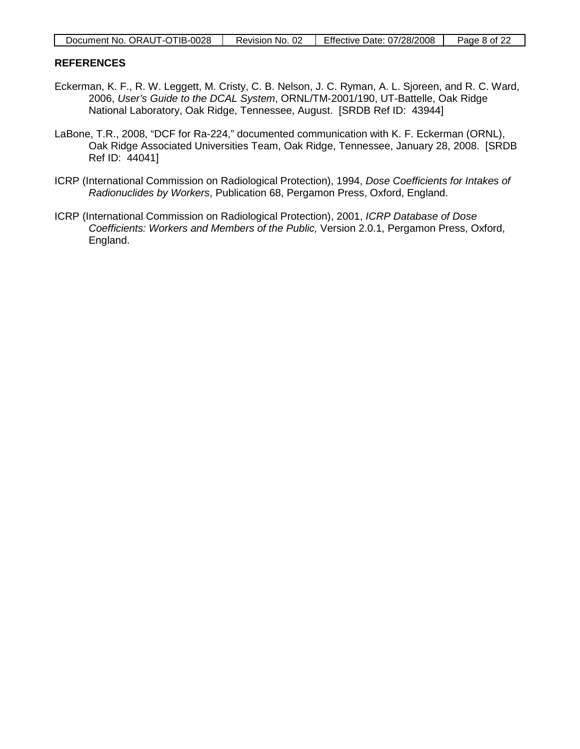| Document No. ORAUT-OTIB-0028 | Revision No. 02 | Effective Date: 07/28/2008 | Page 8 of 22 |
|------------------------------|-----------------|----------------------------|--------------|
|------------------------------|-----------------|----------------------------|--------------|

### **REFERENCES**

- Eckerman, K. F., R. W. Leggett, M. Cristy, C. B. Nelson, J. C. Ryman, A. L. Sjoreen, and R. C. Ward, 2006, *User's Guide to the DCAL System*, ORNL/TM-2001/190, UT-Battelle, Oak Ridge National Laboratory, Oak Ridge, Tennessee, August. [SRDB Ref ID: 43944]
- LaBone, T.R., 2008, "DCF for Ra-224," documented communication with K. F. Eckerman (ORNL), Oak Ridge Associated Universities Team, Oak Ridge, Tennessee, January 28, 2008. [SRDB Ref ID: 44041]
- ICRP (International Commission on Radiological Protection), 1994, *Dose Coefficients for Intakes of Radionuclides by Workers*, Publication 68, Pergamon Press, Oxford, England.
- ICRP (International Commission on Radiological Protection), 2001, *ICRP Database of Dose Coefficients: Workers and Members of the Public,* Version 2.0.1, Pergamon Press, Oxford, England.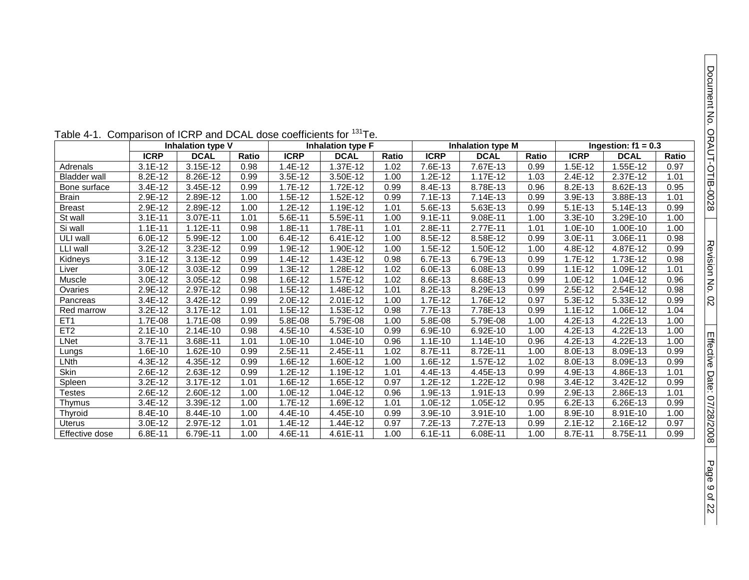| Table 4-1. Comparison of ICRP and DCAL dose coefficients for '°'Te. |                          |             |       |                          |             |       |                          |             |                       |             |             |       |
|---------------------------------------------------------------------|--------------------------|-------------|-------|--------------------------|-------------|-------|--------------------------|-------------|-----------------------|-------------|-------------|-------|
|                                                                     | <b>Inhalation type V</b> |             |       | <b>Inhalation type F</b> |             |       | <b>Inhalation type M</b> |             | Ingestion: $f1 = 0.3$ |             |             |       |
|                                                                     | <b>ICRP</b>              | <b>DCAL</b> | Ratio | <b>ICRP</b>              | <b>DCAL</b> | Ratio | <b>ICRP</b>              | <b>DCAL</b> | Ratio                 | <b>ICRP</b> | <b>DCAL</b> | Ratio |
| Adrenals                                                            | $3.1E-12$                | 3.15E-12    | 0.98  | $1.4E-12$                | 1.37E-12    | 1.02  | 7.6E-13                  | 7.67E-13    | 0.99                  | $1.5E-12$   | 1.55E-12    | 0.97  |
| <b>Bladder wall</b>                                                 | 8.2E-12                  | 8.26E-12    | 0.99  | $3.5E-12$                | 3.50E-12    | 1.00  | $1.2E-12$                | 1.17E-12    | 1.03                  | $2.4E-12$   | 2.37E-12    | 1.01  |
| Bone surface                                                        | 3.4E-12                  | 3.45E-12    | 0.99  | $1.7E-12$                | 1.72E-12    | 0.99  | 8.4E-13                  | 8.78E-13    | 0.96                  | 8.2E-13     | 8.62E-13    | 0.95  |
| <b>Brain</b>                                                        | 2.9E-12                  | 2.89E-12    | 1.00  | $1.5E-12$                | $1.52E-12$  | 0.99  | $7.1E-13$                | 7.14E-13    | 0.99                  | 3.9E-13     | 3.88E-13    | 1.01  |
| <b>Breast</b>                                                       | 2.9E-12                  | 2.89E-12    | 1.00  | $1.2E-12$                | 1.19E-12    | 1.01  | 5.6E-13                  | 5.63E-13    | 0.99                  | $5.1E-13$   | 5.14E-13    | 0.99  |
| St wall                                                             | $3.1E-11$                | 3.07E-11    | 1.01  | 5.6E-11                  | 5.59E-11    | 1.00  | $9.1E - 11$              | 9.08E-11    | 1.00                  | 3.3E-10     | 3.29E-10    | 1.00  |
| Si wall                                                             | $1.1E-11$                | 1.12E-11    | 0.98  | 1.8E-11                  | 1.78E-11    | 1.01  | 2.8E-11                  | 2.77E-11    | 1.01                  | $1.0E-10$   | 1.00E-10    | 1.00  |
| ULI wall                                                            | $6.0E-12$                | 5.99E-12    | 1.00  | $6.4E-12$                | 6.41E-12    | 1.00  | 8.5E-12                  | 8.58E-12    | 0.99                  | 3.0E-11     | 3.06E-11    | 0.98  |
| LLI wall                                                            | $3.2E-12$                | 3.23E-12    | 0.99  | 1.9E-12                  | 1.90E-12    | 1.00  | 1.5E-12                  | 1.50E-12    | 1.00                  | 4.8E-12     | 4.87E-12    | 0.99  |
| Kidneys                                                             | $3.1E-12$                | 3.13E-12    | 0.99  | 1.4E-12                  | 1.43E-12    | 0.98  | 6.7E-13                  | 6.79E-13    | 0.99                  | 1.7E-12     | 1.73E-12    | 0.98  |
| Liver                                                               | 3.0E-12                  | 3.03E-12    | 0.99  | 1.3E-12                  | 1.28E-12    | 1.02  | 6.0E-13                  | 6.08E-13    | 0.99                  | $1.1E-12$   | 1.09E-12    | 1.01  |
| Muscle                                                              | 3.0E-12                  | 3.05E-12    | 0.98  | 1.6E-12                  | 1.57E-12    | 1.02  | 8.6E-13                  | 8.68E-13    | 0.99                  | 1.0E-12     | 1.04E-12    | 0.96  |
| Ovaries                                                             | 2.9E-12                  | 2.97E-12    | 0.98  | $1.5E-12$                | 1.48E-12    | 1.01  | 8.2E-13                  | 8.29E-13    | 0.99                  | $2.5E-12$   | 2.54E-12    | 0.98  |
| Pancreas                                                            | 3.4E-12                  | 3.42E-12    | 0.99  | $2.0E-12$                | 2.01E-12    | 1.00  | 1.7E-12                  | 1.76E-12    | 0.97                  | 5.3E-12     | 5.33E-12    | 0.99  |
| Red marrow                                                          | 3.2E-12                  | 3.17E-12    | 1.01  | 1.5E-12                  | 1.53E-12    | 0.98  | 7.7E-13                  | 7.78E-13    | 0.99                  | $1.1E-12$   | 1.06E-12    | 1.04  |
| ET <sub>1</sub>                                                     | 1.7E-08                  | 1.71E-08    | 0.99  | 5.8E-08                  | 5.79E-08    | 1.00  | 5.8E-08                  | 5.79E-08    | 1.00                  | 4.2E-13     | 4.22E-13    | 1.00  |
| ET <sub>2</sub>                                                     | $2.1E-10$                | 2.14E-10    | 0.98  | 4.5E-10                  | 4.53E-10    | 0.99  | 6.9E-10                  | 6.92E-10    | 1.00                  | 4.2E-13     | 4.22E-13    | 1.00  |
| LNet                                                                | 3.7E-11                  | 3.68E-11    | 1.01  | $1.0E-10$                | 1.04E-10    | 0.96  | $1.1E-10$                | 1.14E-10    | 0.96                  | 4.2E-13     | 4.22E-13    | 1.00  |
| Lungs                                                               | 1.6E-10                  | 1.62E-10    | 0.99  | $2.5E-11$                | 2.45E-11    | 1.02  | 8.7E-11                  | 8.72E-11    | 1.00                  | 8.0E-13     | 8.09E-13    | 0.99  |
| LNth                                                                | 4.3E-12                  | 4.35E-12    | 0.99  | 1.6E-12                  | 1.60E-12    | 1.00  | 1.6E-12                  | 1.57E-12    | 1.02                  | 8.0E-13     | 8.09E-13    | 0.99  |
| Skin                                                                | 2.6E-12                  | 2.63E-12    | 0.99  | $1.2E-12$                | 1.19E-12    | 1.01  | 4.4E-13                  | 4.45E-13    | 0.99                  | 4.9E-13     | 4.86E-13    | 1.01  |
| Spleen                                                              | 3.2E-12                  | 3.17E-12    | 1.01  | 1.6E-12                  | 1.65E-12    | 0.97  | $1.2E-12$                | 1.22E-12    | 0.98                  | 3.4E-12     | 3.42E-12    | 0.99  |
| Testes                                                              | 2.6E-12                  | 2.60E-12    | 1.00  | $1.0E-12$                | 1.04E-12    | 0.96  | 1.9E-13                  | 1.91E-13    | 0.99                  | 2.9E-13     | 2.86E-13    | 1.01  |
| Thymus                                                              | 3.4E-12                  | 3.39E-12    | 1.00  | 1.7E-12                  | 1.69E-12    | 1.01  | 1.0E-12                  | 1.05E-12    | 0.95                  | $6.2E-13$   | 6.26E-13    | 0.99  |
| Thyroid                                                             | 8.4E-10                  | 8.44E-10    | 1.00  | 4.4E-10                  | 4.45E-10    | 0.99  | 3.9E-10                  | 3.91E-10    | 1.00                  | 8.9E-10     | 8.91E-10    | 1.00  |
| Uterus                                                              | 3.0E-12                  | 2.97E-12    | 1.01  | 1.4E-12                  | 1.44E-12    | 0.97  | 7.2E-13                  | 7.27E-13    | 0.99                  | $2.1E-12$   | 2.16E-12    | 0.97  |
| Effective dose                                                      | 6.8E-11                  | 6.79E-11    | 1.00  | 4.6E-11                  | 4.61E-11    | 1.00  | $6.1E-11$                | 6.08E-11    | 1.00                  | 8.7E-11     | 8.75E-11    | 0.99  |

|  | Table 4-1. Comparison of ICRP and DCAL dose coefficients for <sup>131</sup> Te. |  |  |  |
|--|---------------------------------------------------------------------------------|--|--|--|
|--|---------------------------------------------------------------------------------|--|--|--|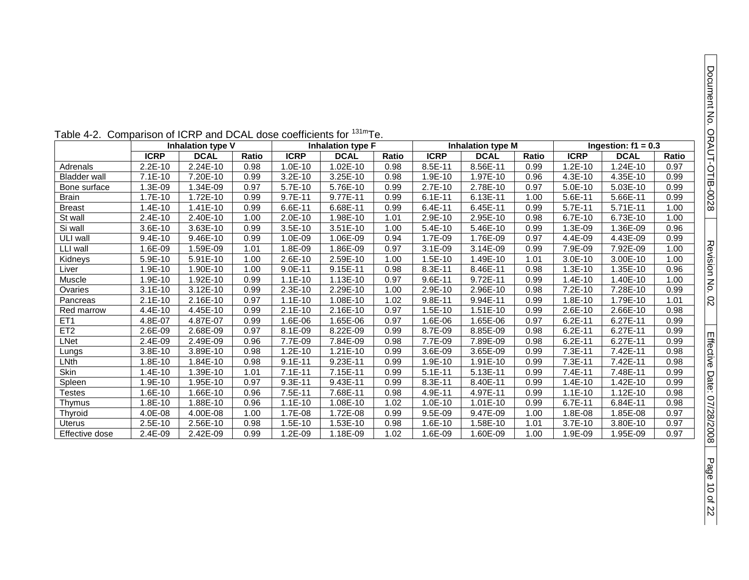| Table 4-2. Comparison of ICRP and DCAL dose coefficients for <sup>131m</sup> Te. |                          |             |       |             |                          |       |                          |              |       |                       |             |       |
|----------------------------------------------------------------------------------|--------------------------|-------------|-------|-------------|--------------------------|-------|--------------------------|--------------|-------|-----------------------|-------------|-------|
|                                                                                  | <b>Inhalation type V</b> |             |       |             | <b>Inhalation type F</b> |       | <b>Inhalation type M</b> |              |       | Ingestion: $f1 = 0.3$ |             |       |
|                                                                                  | <b>ICRP</b>              | <b>DCAL</b> | Ratio | <b>ICRP</b> | <b>DCAL</b>              | Ratio | <b>ICRP</b>              | <b>DCAL</b>  | Ratio | <b>ICRP</b>           | <b>DCAL</b> | Ratio |
| Adrenals                                                                         | 2.2E-10                  | 2.24E-10    | 0.98  | 1.0E-10     | 1.02E-10                 | 0.98  | 8.5E-11                  | 8.56E-11     | 0.99  | $1.2E-10$             | $.24E-10$   | 0.97  |
| <b>Bladder wall</b>                                                              | 7.1E-10                  | 7.20E-10    | 0.99  | $3.2E-10$   | 3.25E-10                 | 0.98  | 1.9E-10                  | 1.97E-10     | 0.96  | $4.3E-10$             | 4.35E-10    | 0.99  |
| Bone surface                                                                     | 1.3E-09                  | 1.34E-09    | 0.97  | 5.7E-10     | 5.76E-10                 | 0.99  | 2.7E-10                  | 2.78E-10     | 0.97  | $5.0E-10$             | 5.03E-10    | 0.99  |
| <b>Brain</b>                                                                     | 1.7E-10                  | 1.72E-10    | 0.99  | $9.7E - 11$ | 9.77E-11                 | 0.99  | $6.1E-11$                | 6.13E-11     | 1.00  | 5.6E-11               | 5.66E-11    | 0.99  |
| <b>Breast</b>                                                                    | $1.4E-10$                | 1.41E-10    | 0.99  | 6.6E-11     | 6.68E-11                 | 0.99  | 6.4E-11                  | 6.45E-11     | 0.99  | 5.7E-11               | 5.71E-11    | 1.00  |
| St wall                                                                          | $2.4E-10$                | 2.40E-10    | 1.00  | 2.0E-10     | 1.98E-10                 | 1.01  | 2.9E-10                  | 2.95E-10     | 0.98  | 6.7E-10               | 6.73E-10    | 1.00  |
| Si wall                                                                          | $3.6E-10$                | 3.63E-10    | 0.99  | $3.5E-10$   | 3.51E-10                 | 1.00  | $5.4E-10$                | 5.46E-10     | 0.99  | 1.3E-09               | 1.36E-09    | 0.96  |
| ULI wall                                                                         | $9.4E-10$                | 9.46E-10    | 0.99  | 1.0E-09     | 1.06E-09                 | 0.94  | 1.7E-09                  | 1.76E-09     | 0.97  | 4.4E-09               | 4.43E-09    | 0.99  |
| LLI wall                                                                         | 1.6E-09                  | 1.59E-09    | 1.01  | 1.8E-09     | 1.86E-09                 | 0.97  | $3.1E-09$                | 3.14E-09     | 0.99  | 7.9E-09               | 7.92E-09    | 1.00  |
| Kidneys                                                                          | 5.9E-10                  | 5.91E-10    | 1.00  | $2.6E-10$   | 2.59E-10                 | 1.00  | 1.5E-10                  | 1.49E-10     | 1.01  | $3.0E-10$             | 3.00E-10    | 1.00  |
| Liver                                                                            | 1.9E-10                  | 1.90E-10    | 1.00  | $9.0E-11$   | 9.15E-11                 | 0.98  | 8.3E-11                  | 8.46E-11     | 0.98  | $1.3E-10$             | 1.35E-10    | 0.96  |
| Muscle                                                                           | $1.9E-10$                | 1.92E-10    | 0.99  | $1.1E-10$   | 1.13E-10                 | 0.97  | $9.6E-11$                | 9.72E-11     | 0.99  | $1.4E-10$             | 1.40E-10    | 1.00  |
| Ovaries                                                                          | $3.1E-10$                | $3.12E-10$  | 0.99  | 2.3E-10     | 2.29E-10                 | 1.00  | 2.9E-10                  | 2.96E-10     | 0.98  | 7.2E-10               | 7.28E-10    | 0.99  |
| Pancreas                                                                         | $2.1E-10$                | 2.16E-10    | 0.97  | $1.1E-10$   | 1.08E-10                 | 1.02  | 9.8E-11                  | 9.94E-11     | 0.99  | 1.8E-10               | 1.79E-10    | 1.01  |
| Red marrow                                                                       | 4.4E-10                  | 4.45E-10    | 0.99  | $2.1E-10$   | 2.16E-10                 | 0.97  | $1.5E-10$                | 1.51E-10     | 0.99  | 2.6E-10               | 2.66E-10    | 0.98  |
| ET <sub>1</sub>                                                                  | 4.8E-07                  | 4.87E-07    | 0.99  | 1.6E-06     | 1.65E-06                 | 0.97  | 1.6E-06                  | 1.65E-06     | 0.97  | $6.2E-11$             | 6.27E-11    | 0.99  |
| ET <sub>2</sub>                                                                  | 2.6E-09                  | 2.68E-09    | 0.97  | 8.1E-09     | 8.22E-09                 | 0.99  | 8.7E-09                  | 8.85E-09     | 0.98  | $6.2E-11$             | 6.27E-11    | 0.99  |
| LNet                                                                             | 2.4E-09                  | 2.49E-09    | 0.96  | 7.7E-09     | 7.84E-09                 | 0.98  | 7.7E-09                  | 7.89E-09     | 0.98  | $6.2E-11$             | 6.27E-11    | 0.99  |
| Lungs                                                                            | 3.8E-10                  | 3.89E-10    | 0.98  | $1.2E-10$   | 1.21E-10                 | 0.99  | 3.6E-09                  | 3.65E-09     | 0.99  | 7.3E-11               | 7.42E-11    | 0.98  |
| LNth                                                                             | 1.8E-10                  | 1.84E-10    | 0.98  | $9.1E-11$   | 9.23E-11                 | 0.99  | 1.9E-10                  | 1.91E-10     | 0.99  | 7.3E-11               | 7.42E-11    | 0.98  |
| Skin                                                                             | $1.4E-10$                | 1.39E-10    | 1.01  | $7.1E-11$   | 7.15E-11                 | 0.99  | $5.1E-11$                | $5.13E - 11$ | 0.99  | $7.4E-11$             | 7.48E-11    | 0.99  |
| Spleen                                                                           | $1.9E-10$                | 1.95E-10    | 0.97  | $9.3E - 11$ | 9.43E-11                 | 0.99  | $8.3E-11$                | 8.40E-11     | 0.99  | $1.4E-10$             | 1.42E-10    | 0.99  |
| Testes                                                                           | 1.6E-10                  | 1.66E-10    | 0.96  | 7.5E-11     | 7.68E-11                 | 0.98  | 4.9E-11                  | 4.97E-11     | 0.99  | $1.1E-10$             | 1.12E-10    | 0.98  |
| Thymus                                                                           | 1.8E-10                  | 1.88E-10    | 0.96  | $1.1E-10$   | 1.08E-10                 | 1.02  | $1.0E-10$                | 1.01E-10     | 0.99  | 6.7E-11               | 6.84E-11    | 0.98  |
| Thyroid                                                                          | 4.0E-08                  | 4.00E-08    | 1.00  | 1.7E-08     | 1.72E-08                 | 0.99  | 9.5E-09                  | 9.47E-09     | 1.00  | 1.8E-08               | 1.85E-08    | 0.97  |
| Uterus                                                                           | $2.5E-10$                | 2.56E-10    | 0.98  | $.5E-10$    | 1.53E-10                 | 0.98  | $1.6E-10$                | 1.58E-10     | 1.01  | $3.7E-10$             | 3.80E-10    | 0.97  |
| Effective dose                                                                   | 2.4E-09                  | 2.42E-09    | 0.99  | 1.2E-09     | 1.18E-09                 | 1.02  | 1.6E-09                  | 1.60E-09     | 1.00  | 1.9E-09               | 1.95E-09    | 0.97  |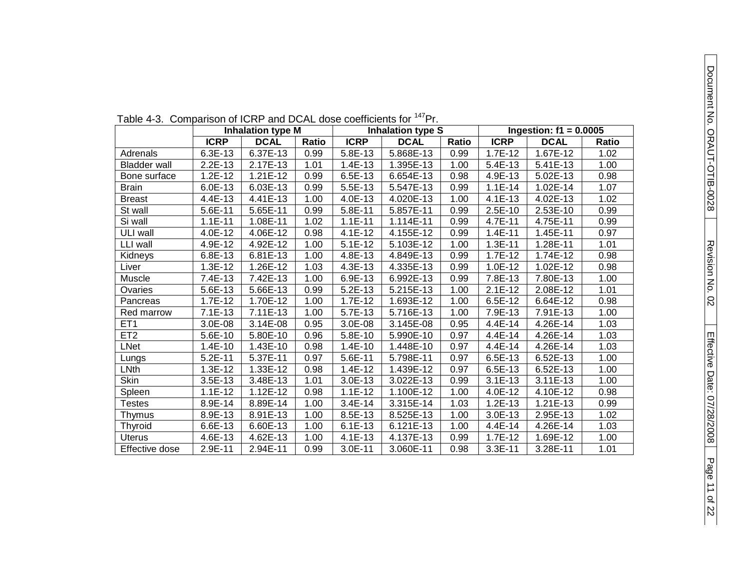| Table +-0. Companion for form and DOAL dose countilents for |             | <b>Inhalation type M</b> |       | .<br><b>Inhalation type S</b> | Ingestion: $f1 = 0.0005$ |       |             |             |       |  |  |
|-------------------------------------------------------------|-------------|--------------------------|-------|-------------------------------|--------------------------|-------|-------------|-------------|-------|--|--|
|                                                             | <b>ICRP</b> | <b>DCAL</b>              | Ratio | <b>ICRP</b>                   | <b>DCAL</b>              | Ratio | <b>ICRP</b> | <b>DCAL</b> | Ratio |  |  |
| Adrenals                                                    | 6.3E-13     | 6.37E-13                 | 0.99  | 5.8E-13                       | 5.868E-13                | 0.99  | 1.7E-12     | 1.67E-12    | 1.02  |  |  |
| <b>Bladder wall</b>                                         | $2.2E-13$   | 2.17E-13                 | 1.01  | 1.4E-13                       | 1.395E-13                | 1.00  | 5.4E-13     | 5.41E-13    | 1.00  |  |  |
| Bone surface                                                | $1.2E-12$   | 1.21E-12                 | 0.99  | 6.5E-13                       | 6.654E-13                | 0.98  | 4.9E-13     | 5.02E-13    | 0.98  |  |  |
| <b>Brain</b>                                                | 6.0E-13     | 6.03E-13                 | 0.99  | 5.5E-13                       | 5.547E-13                | 0.99  | $1.1E-14$   | 1.02E-14    | 1.07  |  |  |
| <b>Breast</b>                                               | 4.4E-13     | 4.41E-13                 | 1.00  | 4.0E-13                       | 4.020E-13                | 1.00  | 4.1E-13     | 4.02E-13    | 1.02  |  |  |
| St wall                                                     | 5.6E-11     | 5.65E-11                 | 0.99  | 5.8E-11                       | 5.857E-11                | 0.99  | 2.5E-10     | 2.53E-10    | 0.99  |  |  |
| Si wall                                                     | $1.1E-11$   | 1.08E-11                 | 1.02  | $1.1E-11$                     | 1.114E-11                | 0.99  | 4.7E-11     | 4.75E-11    | 0.99  |  |  |
| ULI wall                                                    | 4.0E-12     | 4.06E-12                 | 0.98  | $4.1E-12$                     | 4.155E-12                | 0.99  | $1.4E-11$   | 1.45E-11    | 0.97  |  |  |
| LLI wall                                                    | 4.9E-12     | 4.92E-12                 | 1.00  | $5.1E-12$                     | 5.103E-12                | 1.00  | $1.3E-11$   | 1.28E-11    | 1.01  |  |  |
| Kidneys                                                     | 6.8E-13     | 6.81E-13                 | 1.00  | 4.8E-13                       | 4.849E-13                | 0.99  | $1.7E-12$   | 1.74E-12    | 0.98  |  |  |
| Liver                                                       | $1.3E-12$   | 1.26E-12                 | 1.03  | 4.3E-13                       | 4.335E-13                | 0.99  | 1.0E-12     | 1.02E-12    | 0.98  |  |  |
| Muscle                                                      | 7.4E-13     | 7.42E-13                 | 1.00  | 6.9E-13                       | 6.992E-13                | 0.99  | 7.8E-13     | 7.80E-13    | 1.00  |  |  |
| Ovaries                                                     | 5.6E-13     | 5.66E-13                 | 0.99  | 5.2E-13                       | 5.215E-13                | 1.00  | $2.1E-12$   | 2.08E-12    | 1.01  |  |  |
| Pancreas                                                    | 1.7E-12     | 1.70E-12                 | 1.00  | 1.7E-12                       | 1.693E-12                | 1.00  | 6.5E-12     | 6.64E-12    | 0.98  |  |  |
| Red marrow                                                  | $7.1E-13$   | $7.11E-13$               | 1.00  | 5.7E-13                       | 5.716E-13                | 1.00  | 7.9E-13     | 7.91E-13    | 1.00  |  |  |
| ET <sub>1</sub>                                             | 3.0E-08     | 3.14E-08                 | 0.95  | 3.0E-08                       | 3.145E-08                | 0.95  | 4.4E-14     | 4.26E-14    | 1.03  |  |  |
| ET <sub>2</sub>                                             | 5.6E-10     | 5.80E-10                 | 0.96  | 5.8E-10                       | 5.990E-10                | 0.97  | 4.4E-14     | 4.26E-14    | 1.03  |  |  |
| LNet                                                        | $1.4E-10$   | 1.43E-10                 | 0.98  | $1.4E-10$                     | 1.448E-10                | 0.97  | 4.4E-14     | 4.26E-14    | 1.03  |  |  |
| Lungs                                                       | $5.2E-11$   | 5.37E-11                 | 0.97  | 5.6E-11                       | 5.798E-11                | 0.97  | 6.5E-13     | 6.52E-13    | 1.00  |  |  |
| LNth                                                        | $1.3E-12$   | 1.33E-12                 | 0.98  | 1.4E-12                       | 1.439E-12                | 0.97  | 6.5E-13     | 6.52E-13    | 1.00  |  |  |
| <b>Skin</b>                                                 | $3.5E-13$   | 3.48E-13                 | 1.01  | 3.0E-13                       | 3.022E-13                | 0.99  | $3.1E-13$   | 3.11E-13    | 1.00  |  |  |
| Spleen                                                      | $1.1E-12$   | 1.12E-12                 | 0.98  | $1.1E-12$                     | 1.100E-12                | 1.00  | 4.0E-12     | 4.10E-12    | 0.98  |  |  |
| Testes                                                      | 8.9E-14     | 8.89E-14                 | 1.00  | 3.4E-14                       | 3.315E-14                | 1.03  | $1.2E-13$   | 1.21E-13    | 0.99  |  |  |
| Thymus                                                      | 8.9E-13     | 8.91E-13                 | 1.00  | 8.5E-13                       | 8.525E-13                | 1.00  | 3.0E-13     | 2.95E-13    | 1.02  |  |  |
| Thyroid                                                     | 6.6E-13     | 6.60E-13                 | 1.00  | $6.1E-13$                     | 6.121E-13                | 1.00  | 4.4E-14     | 4.26E-14    | 1.03  |  |  |
| Uterus                                                      | 4.6E-13     | 4.62E-13                 | 1.00  | 4.1E-13                       | 4.137E-13                | 0.99  | 1.7E-12     | 1.69E-12    | 1.00  |  |  |
| Effective dose                                              | 2.9E-11     | 2.94E-11                 | 0.99  | $3.0E-11$                     | 3.060E-11                | 0.98  | $3.3E-11$   | 3.28E-11    | 1.01  |  |  |

Table 4-3. Comparison of ICRP and DCAL dose coefficients for <sup>147</sup>Pr.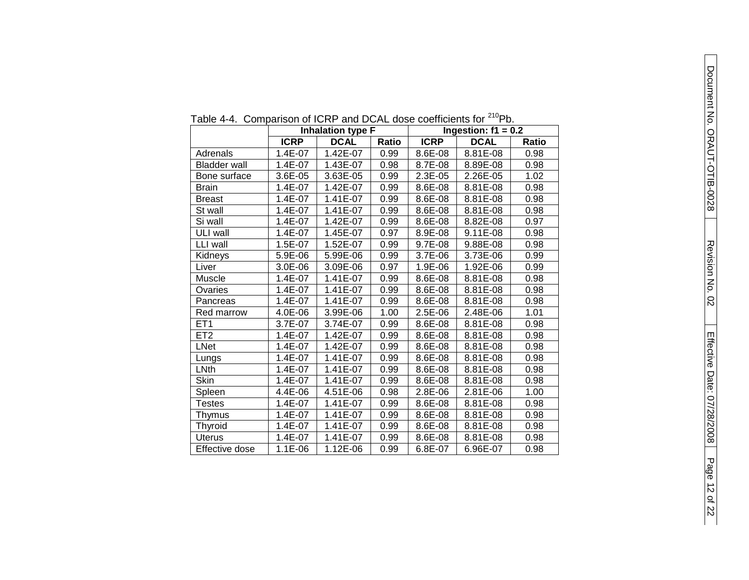| $1.411$ . Companion of TOTA and DOAL dood occurrent to the |             | <b>Inhalation type F</b> |              |             | .<br>Ingestion: $f1 = 0.2$ |       |
|------------------------------------------------------------|-------------|--------------------------|--------------|-------------|----------------------------|-------|
|                                                            | <b>ICRP</b> | <b>DCAL</b>              | <b>Ratio</b> | <b>ICRP</b> | <b>DCAL</b>                | Ratio |
| Adrenals                                                   | 1.4E-07     | 1.42E-07                 | 0.99         | 8.6E-08     | 8.81E-08                   | 0.98  |
| <b>Bladder wall</b>                                        | 1.4E-07     | 1.43E-07                 | 0.98         | 8.7E-08     | 8.89E-08                   | 0.98  |
| Bone surface                                               | 3.6E-05     | 3.63E-05                 | 0.99         | 2.3E-05     | 2.26E-05                   | 1.02  |
| <b>Brain</b>                                               | 1.4E-07     | 1.42E-07                 | 0.99         | 8.6E-08     | 8.81E-08                   | 0.98  |
| <b>Breast</b>                                              | 1.4E-07     | 1.41E-07                 | 0.99         | 8.6E-08     | 8.81E-08                   | 0.98  |
| St wall                                                    | 1.4E-07     | 1.41E-07                 | 0.99         | 8.6E-08     | 8.81E-08                   | 0.98  |
| Si wall                                                    | 1.4E-07     | 1.42E-07                 | 0.99         | 8.6E-08     | 8.82E-08                   | 0.97  |
| ULI wall                                                   | 1.4E-07     | 1.45E-07                 | 0.97         | 8.9E-08     | 9.11E-08                   | 0.98  |
| LLI wall                                                   | 1.5E-07     | 1.52E-07                 | 0.99         | 9.7E-08     | 9.88E-08                   | 0.98  |
| Kidneys                                                    | 5.9E-06     | 5.99E-06                 | 0.99         | 3.7E-06     | 3.73E-06                   | 0.99  |
| Liver                                                      | 3.0E-06     | 3.09E-06                 | 0.97         | 1.9E-06     | 1.92E-06                   | 0.99  |
| Muscle                                                     | 1.4E-07     | 1.41E-07                 | 0.99         | 8.6E-08     | 8.81E-08                   | 0.98  |
| Ovaries                                                    | 1.4E-07     | 1.41E-07                 | 0.99         | 8.6E-08     | 8.81E-08                   | 0.98  |
| Pancreas                                                   | 1.4E-07     | 1.41E-07                 | 0.99         | 8.6E-08     | 8.81E-08                   | 0.98  |
| Red marrow                                                 | 4.0E-06     | 3.99E-06                 | 1.00         | 2.5E-06     | 2.48E-06                   | 1.01  |
| ET <sub>1</sub>                                            | 3.7E-07     | 3.74E-07                 | 0.99         | 8.6E-08     | 8.81E-08                   | 0.98  |
| ET2                                                        | 1.4E-07     | 1.42E-07                 | 0.99         | 8.6E-08     | 8.81E-08                   | 0.98  |
| <b>LNet</b>                                                | 1.4E-07     | 1.42E-07                 | 0.99         | 8.6E-08     | 8.81E-08                   | 0.98  |
| Lungs                                                      | 1.4E-07     | 1.41E-07                 | 0.99         | 8.6E-08     | 8.81E-08                   | 0.98  |
| LNth                                                       | 1.4E-07     | 1.41E-07                 | 0.99         | 8.6E-08     | 8.81E-08                   | 0.98  |
| Skin                                                       | 1.4E-07     | 1.41E-07                 | 0.99         | 8.6E-08     | 8.81E-08                   | 0.98  |
| Spleen                                                     | 4.4E-06     | 4.51E-06                 | 0.98         | 2.8E-06     | 2.81E-06                   | 1.00  |
| <b>Testes</b>                                              | 1.4E-07     | 1.41E-07                 | 0.99         | 8.6E-08     | 8.81E-08                   | 0.98  |
| Thymus                                                     | 1.4E-07     | 1.41E-07                 | 0.99         | 8.6E-08     | 8.81E-08                   | 0.98  |
| <b>Thyroid</b>                                             | 1.4E-07     | 1.41E-07                 | 0.99         | 8.6E-08     | 8.81E-08                   | 0.98  |
| <b>Uterus</b>                                              | 1.4E-07     | 1.41E-07                 | 0.99         | 8.6E-08     | 8.81E-08                   | 0.98  |
| Effective dose                                             | 1.1E-06     | 1.12E-06                 | 0.99         | 6.8E-07     | 6.96E-07                   | 0.98  |

Table 4-4. Comparison of ICRP and DCAL dose coefficients for <sup>210</sup>Pb.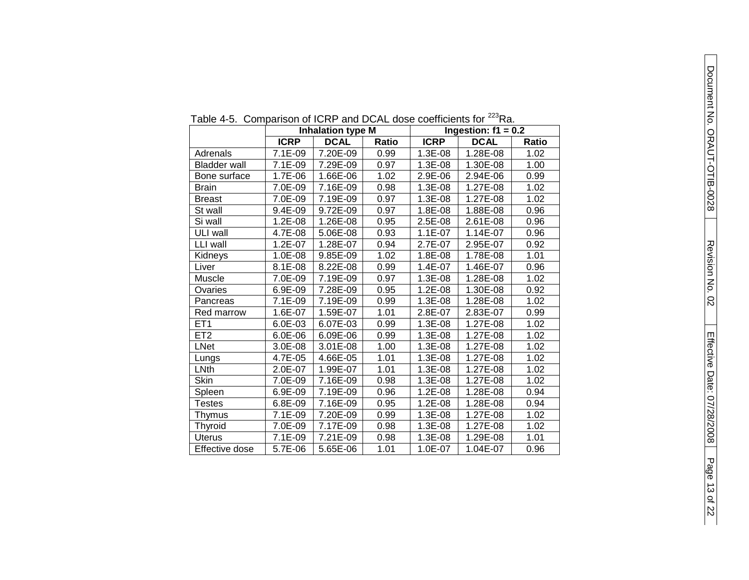| . טוי טוי           |             | <b>POILIPATION IT OF TOTAL TATAL DON'LL GOOD OODITIONING TOT</b><br><b>Inhalation type M</b> |              |             | .<br>Ingestion: $f1 = 0.2$ |       |
|---------------------|-------------|----------------------------------------------------------------------------------------------|--------------|-------------|----------------------------|-------|
|                     | <b>ICRP</b> | <b>DCAL</b>                                                                                  | <b>Ratio</b> | <b>ICRP</b> | <b>DCAL</b>                | Ratio |
| Adrenals            | 7.1E-09     | 7.20E-09                                                                                     | 0.99         | 1.3E-08     | 1.28E-08                   | 1.02  |
| <b>Bladder wall</b> | 7.1E-09     | 7.29E-09                                                                                     | 0.97         | 1.3E-08     | 1.30E-08                   | 1.00  |
| Bone surface        | 1.7E-06     | 1.66E-06                                                                                     | 1.02         | 2.9E-06     | 2.94E-06                   | 0.99  |
| <b>Brain</b>        | 7.0E-09     | 7.16E-09                                                                                     | 0.98         | 1.3E-08     | 1.27E-08                   | 1.02  |
| Breast              | 7.0E-09     | 7.19E-09                                                                                     | 0.97         | 1.3E-08     | 1.27E-08                   | 1.02  |
| St wall             | 9.4E-09     | 9.72E-09                                                                                     | 0.97         | 1.8E-08     | 1.88E-08                   | 0.96  |
| Si wall             | $1.2E-08$   | 1.26E-08                                                                                     | 0.95         | 2.5E-08     | 2.61E-08                   | 0.96  |
| ULI wall            | 4.7E-08     | 5.06E-08                                                                                     | 0.93         | 1.1E-07     | 1.14E-07                   | 0.96  |
| LLI wall            | 1.2E-07     | 1.28E-07                                                                                     | 0.94         | 2.7E-07     | 2.95E-07                   | 0.92  |
| <b>Kidneys</b>      | 1.0E-08     | 9.85E-09                                                                                     | 1.02         | 1.8E-08     | 1.78E-08                   | 1.01  |
| Liver               | 8.1E-08     | 8.22E-08                                                                                     | 0.99         | 1.4E-07     | 1.46E-07                   | 0.96  |
| Muscle              | 7.0E-09     | 7.19E-09                                                                                     | 0.97         | 1.3E-08     | 1.28E-08                   | 1.02  |
| Ovaries             | 6.9E-09     | 7.28E-09                                                                                     | 0.95         | $1.2E-08$   | 1.30E-08                   | 0.92  |
| Pancreas            | 7.1E-09     | 7.19E-09                                                                                     | 0.99         | 1.3E-08     | 1.28E-08                   | 1.02  |
| Red marrow          | 1.6E-07     | 1.59E-07                                                                                     | 1.01         | 2.8E-07     | 2.83E-07                   | 0.99  |
| ET <sub>1</sub>     | 6.0E-03     | 6.07E-03                                                                                     | 0.99         | 1.3E-08     | 1.27E-08                   | 1.02  |
| ET2                 | $6.0E-06$   | 6.09E-06                                                                                     | 0.99         | 1.3E-08     | 1.27E-08                   | 1.02  |
| <b>LNet</b>         | 3.0E-08     | 3.01E-08                                                                                     | 1.00         | 1.3E-08     | 1.27E-08                   | 1.02  |
| Lungs               | 4.7E-05     | 4.66E-05                                                                                     | 1.01         | 1.3E-08     | 1.27E-08                   | 1.02  |
| LNth                | 2.0E-07     | 1.99E-07                                                                                     | 1.01         | 1.3E-08     | 1.27E-08                   | 1.02  |
| Skin                | 7.0E-09     | 7.16E-09                                                                                     | 0.98         | 1.3E-08     | 1.27E-08                   | 1.02  |
| Spleen              | 6.9E-09     | 7.19E-09                                                                                     | 0.96         | 1.2E-08     | 1.28E-08                   | 0.94  |
| <b>Testes</b>       | 6.8E-09     | 7.16E-09                                                                                     | 0.95         | 1.2E-08     | 1.28E-08                   | 0.94  |
| Thymus              | 7.1E-09     | 7.20E-09                                                                                     | 0.99         | 1.3E-08     | 1.27E-08                   | 1.02  |
| Thyroid             | 7.0E-09     | 7.17E-09                                                                                     | 0.98         | 1.3E-08     | 1.27E-08                   | 1.02  |
| <b>Uterus</b>       | 7.1E-09     | 7.21E-09                                                                                     | 0.98         | 1.3E-08     | 1.29E-08                   | 1.01  |
| Effective dose      | 5.7E-06     | 5.65E-06                                                                                     | 1.01         | 1.0E-07     | 1.04E-07                   | 0.96  |

Table 4-5. Comparison of ICRP and DCAL dose coefficients for <sup>223</sup>Ra.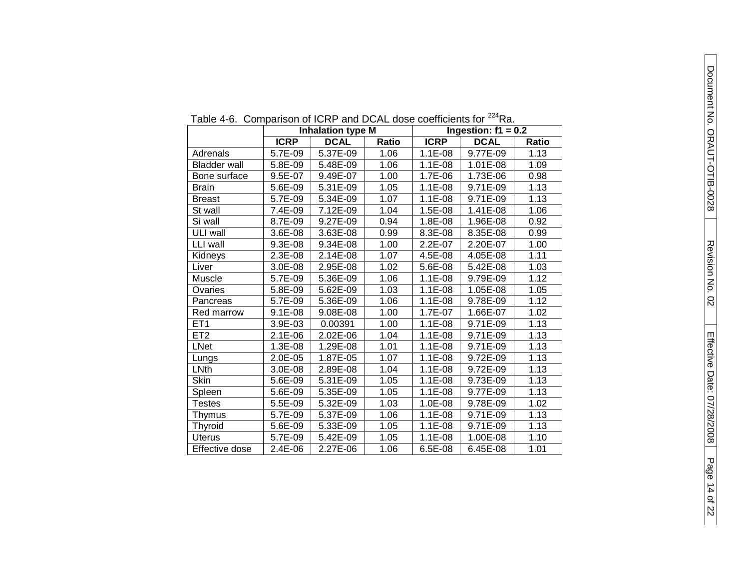| $1$ able $\pm$ 0. Companion for form and DOME about counterfusion<br>1 <b>1</b> u.<br>Ingestion: $f1 = 0.2$<br><b>Inhalation type M</b> |             |             |              |             |             |              |  |  |
|-----------------------------------------------------------------------------------------------------------------------------------------|-------------|-------------|--------------|-------------|-------------|--------------|--|--|
|                                                                                                                                         |             |             |              |             |             |              |  |  |
|                                                                                                                                         | <b>ICRP</b> | <b>DCAL</b> | <b>Ratio</b> | <b>ICRP</b> | <b>DCAL</b> | <b>Ratio</b> |  |  |
| Adrenals                                                                                                                                | 5.7E-09     | 5.37E-09    | 1.06         | $1.1E-08$   | 9.77E-09    | 1.13         |  |  |
| <b>Bladder wall</b>                                                                                                                     | 5.8E-09     | 5.48E-09    | 1.06         | $1.1E-08$   | 1.01E-08    | 1.09         |  |  |
| Bone surface                                                                                                                            | 9.5E-07     | 9.49E-07    | 1.00         | 1.7E-06     | 1.73E-06    | 0.98         |  |  |
| <b>Brain</b>                                                                                                                            | 5.6E-09     | 5.31E-09    | 1.05         | 1.1E-08     | 9.71E-09    | 1.13         |  |  |
| <b>Breast</b>                                                                                                                           | 5.7E-09     | 5.34E-09    | 1.07         | $1.1E-08$   | 9.71E-09    | 1.13         |  |  |
| St wall                                                                                                                                 | 7.4E-09     | 7.12E-09    | 1.04         | 1.5E-08     | 1.41E-08    | 1.06         |  |  |
| Si wall                                                                                                                                 | 8.7E-09     | 9.27E-09    | 0.94         | 1.8E-08     | 1.96E-08    | 0.92         |  |  |
| ULI wall                                                                                                                                | 3.6E-08     | 3.63E-08    | 0.99         | 8.3E-08     | 8.35E-08    | 0.99         |  |  |
| LLI wall                                                                                                                                | 9.3E-08     | 9.34E-08    | 1.00         | $2.2E-07$   | 2.20E-07    | 1.00         |  |  |
| Kidneys                                                                                                                                 | 2.3E-08     | 2.14E-08    | 1.07         | 4.5E-08     | 4.05E-08    | 1.11         |  |  |
| Liver                                                                                                                                   | 3.0E-08     | 2.95E-08    | 1.02         | 5.6E-08     | 5.42E-08    | 1.03         |  |  |
| Muscle                                                                                                                                  | 5.7E-09     | 5.36E-09    | 1.06         | $1.1E-08$   | 9.79E-09    | 1.12         |  |  |
| Ovaries                                                                                                                                 | 5.8E-09     | 5.62E-09    | 1.03         | $1.1E-08$   | 1.05E-08    | 1.05         |  |  |
| Pancreas                                                                                                                                | 5.7E-09     | 5.36E-09    | 1.06         | $1.1E-08$   | 9.78E-09    | 1.12         |  |  |
| Red marrow                                                                                                                              | $9.1E-08$   | 9.08E-08    | 1.00         | 1.7E-07     | 1.66E-07    | 1.02         |  |  |
| ET <sub>1</sub>                                                                                                                         | 3.9E-03     | 0.00391     | 1.00         | $1.1E-08$   | 9.71E-09    | 1.13         |  |  |
| ET <sub>2</sub>                                                                                                                         | $2.1E-06$   | 2.02E-06    | 1.04         | $1.1E-08$   | 9.71E-09    | 1.13         |  |  |
| <b>LNet</b>                                                                                                                             | 1.3E-08     | 1.29E-08    | 1.01         | $1.1E-08$   | 9.71E-09    | 1.13         |  |  |
| Lungs                                                                                                                                   | $2.0E-05$   | 1.87E-05    | 1.07         | $1.1E-08$   | 9.72E-09    | 1.13         |  |  |
| LNth                                                                                                                                    | 3.0E-08     | 2.89E-08    | 1.04         | $1.1E-08$   | 9.72E-09    | 1.13         |  |  |
| <b>Skin</b>                                                                                                                             | 5.6E-09     | 5.31E-09    | 1.05         | $1.1E-08$   | 9.73E-09    | 1.13         |  |  |
| Spleen                                                                                                                                  | 5.6E-09     | 5.35E-09    | 1.05         | $1.1E-08$   | 9.77E-09    | 1.13         |  |  |
| Testes                                                                                                                                  | 5.5E-09     | 5.32E-09    | 1.03         | 1.0E-08     | 9.78E-09    | 1.02         |  |  |
| Thymus                                                                                                                                  | 5.7E-09     | 5.37E-09    | 1.06         | $1.1E-08$   | 9.71E-09    | 1.13         |  |  |
| Thyroid                                                                                                                                 | 5.6E-09     | 5.33E-09    | 1.05         | $1.1E-08$   | 9.71E-09    | 1.13         |  |  |
| <b>Uterus</b>                                                                                                                           | 5.7E-09     | 5.42E-09    | 1.05         | $1.1E-08$   | 1.00E-08    | 1.10         |  |  |
| Effective dose                                                                                                                          | 2.4E-06     | 2.27E-06    | 1.06         | 6.5E-08     | 6.45E-08    | 1.01         |  |  |

Table 4-6. Comparison of ICRP and DCAL dose coefficients for <sup>224</sup>Ra.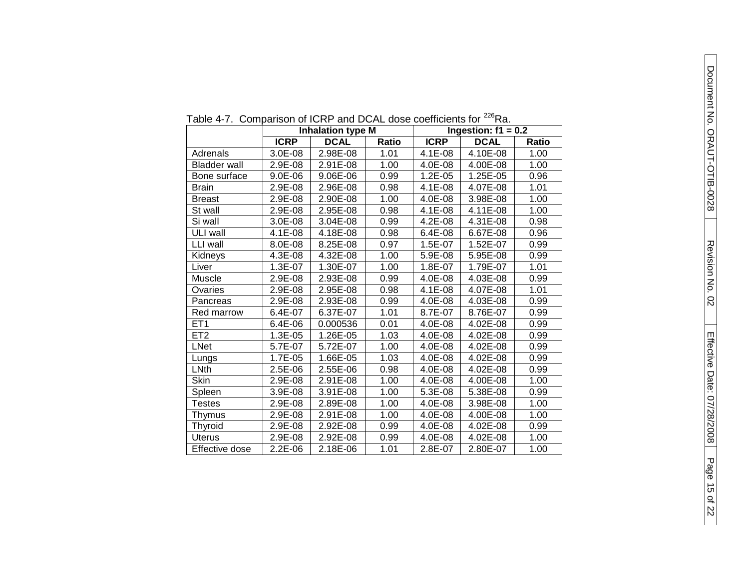| able 4-7. Comparison or form and DOAL dose coemclents for |             | <b>Inhalation type M</b> |       |             | i va.<br>Ingestion: $f1 = 0.2$ |       |
|-----------------------------------------------------------|-------------|--------------------------|-------|-------------|--------------------------------|-------|
|                                                           | <b>ICRP</b> | <b>DCAL</b>              | Ratio | <b>ICRP</b> | <b>DCAL</b>                    | Ratio |
| Adrenals                                                  | 3.0E-08     | 2.98E-08                 | 1.01  | 4.1E-08     | 4.10E-08                       | 1.00  |
| <b>Bladder wall</b>                                       | 2.9E-08     | 2.91E-08                 | 1.00  | 4.0E-08     | 4.00E-08                       | 1.00  |
| Bone surface                                              | 9.0E-06     | 9.06E-06                 | 0.99  | $1.2E-05$   | 1.25E-05                       | 0.96  |
| Brain                                                     | 2.9E-08     | 2.96E-08                 | 0.98  | 4.1E-08     | 4.07E-08                       | 1.01  |
| Breast                                                    | 2.9E-08     | 2.90E-08                 | 1.00  | 4.0E-08     | 3.98E-08                       | 1.00  |
| St wall                                                   | 2.9E-08     | 2.95E-08                 | 0.98  | 4.1E-08     | 4.11E-08                       | 1.00  |
| Si wall                                                   | 3.0E-08     | 3.04E-08                 | 0.99  | 4.2E-08     | 4.31E-08                       | 0.98  |
| ULI wall                                                  | 4.1E-08     | 4.18E-08                 | 0.98  | $6.4E-08$   | 6.67E-08                       | 0.96  |
| LLI wall                                                  | 8.0E-08     | 8.25E-08                 | 0.97  | 1.5E-07     | 1.52E-07                       | 0.99  |
| Kidneys                                                   | 4.3E-08     | 4.32E-08                 | 1.00  | 5.9E-08     | 5.95E-08                       | 0.99  |
| Liver                                                     | 1.3E-07     | 1.30E-07                 | 1.00  | 1.8E-07     | 1.79E-07                       | 1.01  |
| Muscle                                                    | 2.9E-08     | 2.93E-08                 | 0.99  | 4.0E-08     | 4.03E-08                       | 0.99  |
| Ovaries                                                   | 2.9E-08     | 2.95E-08                 | 0.98  | 4.1E-08     | 4.07E-08                       | 1.01  |
| Pancreas                                                  | 2.9E-08     | 2.93E-08                 | 0.99  | 4.0E-08     | 4.03E-08                       | 0.99  |
| Red marrow                                                | 6.4E-07     | 6.37E-07                 | 1.01  | 8.7E-07     | 8.76E-07                       | 0.99  |
| ET1                                                       | $6.4E-06$   | 0.000536                 | 0.01  | 4.0E-08     | 4.02E-08                       | 0.99  |
| $\overline{ET}2$                                          | 1.3E-05     | 1.26E-05                 | 1.03  | 4.0E-08     | 4.02E-08                       | 0.99  |
| <b>LNet</b>                                               | 5.7E-07     | 5.72E-07                 | 1.00  | 4.0E-08     | 4.02E-08                       | 0.99  |
| Lungs                                                     | 1.7E-05     | 1.66E-05                 | 1.03  | 4.0E-08     | 4.02E-08                       | 0.99  |
| LNth                                                      | 2.5E-06     | 2.55E-06                 | 0.98  | 4.0E-08     | 4.02E-08                       | 0.99  |
| Skin                                                      | 2.9E-08     | 2.91E-08                 | 1.00  | 4.0E-08     | 4.00E-08                       | 1.00  |
| Spleen                                                    | 3.9E-08     | 3.91E-08                 | 1.00  | 5.3E-08     | 5.38E-08                       | 0.99  |
| <b>Testes</b>                                             | 2.9E-08     | 2.89E-08                 | 1.00  | 4.0E-08     | 3.98E-08                       | 1.00  |
| Thymus                                                    | 2.9E-08     | 2.91E-08                 | 1.00  | 4.0E-08     | 4.00E-08                       | 1.00  |
| Thyroid                                                   | 2.9E-08     | 2.92E-08                 | 0.99  | 4.0E-08     | 4.02E-08                       | 0.99  |
| <b>Uterus</b>                                             | 2.9E-08     | 2.92E-08                 | 0.99  | 4.0E-08     | 4.02E-08                       | 1.00  |
| Effective dose                                            | $2.2E-06$   | 2.18E-06                 | 1.01  | 2.8E-07     | 2.80E-07                       | 1.00  |

Table 4-7. Comparison of ICRP and DCAL dose coefficients for <sup>226</sup>Ra.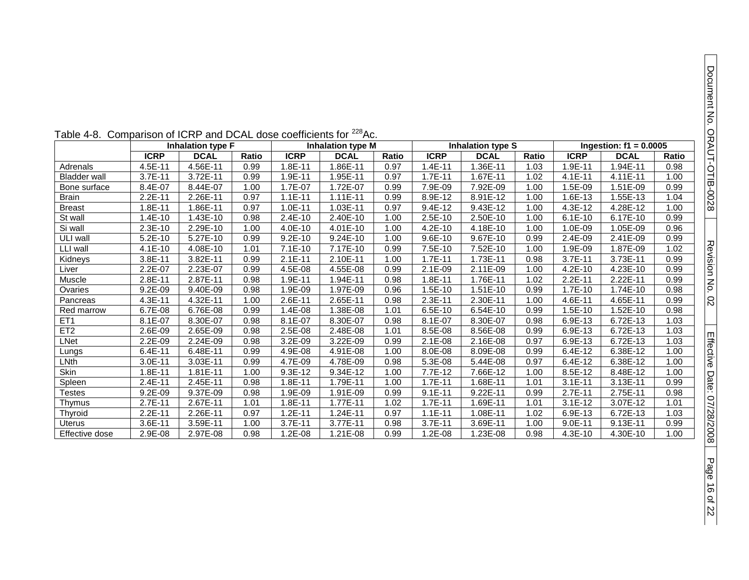of 22

|                     | able 4-6. Companson of ICRF and DCAL dose coemcients for<br>AG. |                          |       |             |                          |       |             |                          |       |             |                          |       |  |
|---------------------|-----------------------------------------------------------------|--------------------------|-------|-------------|--------------------------|-------|-------------|--------------------------|-------|-------------|--------------------------|-------|--|
|                     |                                                                 | <b>Inhalation type F</b> |       |             | <b>Inhalation type M</b> |       |             | <b>Inhalation type S</b> |       |             | Ingestion: $f1 = 0.0005$ |       |  |
|                     | <b>ICRP</b>                                                     | <b>DCAL</b>              | Ratio | <b>ICRP</b> | <b>DCAL</b>              | Ratio | <b>ICRP</b> | <b>DCAL</b>              | Ratio | <b>ICRP</b> | <b>DCAL</b>              | Ratio |  |
| Adrenals            | 4.5E-11                                                         | 4.56E-11                 | 0.99  | $.8E-11$    | 1.86E-11                 | 0.97  | $1.4E-11$   | 1.36E-11                 | 1.03  | 1.9E-11     | 1.94E-11                 | 0.98  |  |
| <b>Bladder wall</b> | 3.7E-11                                                         | 3.72E-11                 | 0.99  | 1.9E-11     | 1.95E-11                 | 0.97  | $1.7E-11$   | 1.67E-11                 | 1.02  | $4.1E - 11$ | 4.11E-11                 | 1.00  |  |
| Bone surface        | 8.4E-07                                                         | 8.44E-07                 | 1.00  | 1.7E-07     | 1.72E-07                 | 0.99  | 7.9E-09     | 7.92E-09                 | 1.00  | 1.5E-09     | 1.51E-09                 | 0.99  |  |
| Brain               | 2.2E-11                                                         | 2.26E-11                 | 0.97  | $1.1E - 11$ | $1.11E-11$               | 0.99  | 8.9E-12     | 8.91E-12                 | 1.00  | 1.6E-13     | 1.55E-13                 | 1.04  |  |
| <b>Breast</b>       | 1.8E-11                                                         | 1.86E-11                 | 0.97  | $1.0E-11$   | 1.03E-11                 | 0.97  | 9.4E-12     | 9.43E-12                 | 1.00  | 4.3E-12     | 4.28E-12                 | 1.00  |  |
| St wall             | 1.4E-10                                                         | 1.43E-10                 | 0.98  | 2.4E-10     | 2.40E-10                 | 1.00  | $2.5E-10$   | 2.50E-10                 | 1.00  | $6.1E-10$   | 6.17E-10                 | 0.99  |  |
| Si wall             | 2.3E-10                                                         | 2.29E-10                 | 1.00  | 4.0E-10     | 4.01E-10                 | 1.00  | $4.2E-10$   | 4.18E-10                 | 1.00  | 1.0E-09     | 1.05E-09                 | 0.96  |  |
| ULI wall            | $5.2E-10$                                                       | 5.27E-10                 | 0.99  | $9.2E-10$   | 9.24E-10                 | 1.00  | 9.6E-10     | 9.67E-10                 | 0.99  | 2.4E-09     | 2.41E-09                 | 0.99  |  |
| LLI wall            | 4.1E-10                                                         | 4.08E-10                 | 1.01  | $7.1E-10$   | 7.17E-10                 | 0.99  | 7.5E-10     | 7.52E-10                 | 1.00  | 1.9E-09     | 1.87E-09                 | 1.02  |  |
| Kidneys             | 3.8E-11                                                         | 3.82E-11                 | 0.99  | $2.1E-11$   | 2.10E-11                 | 1.00  | $1.7E-11$   | 1.73E-11                 | 0.98  | 3.7E-11     | 3.73E-11                 | 0.99  |  |
| Liver               | 2.2E-07                                                         | 2.23E-07                 | 0.99  | 4.5E-08     | 4.55E-08                 | 0.99  | $2.1E-09$   | 2.11E-09                 | 1.00  | $4.2E-10$   | 4.23E-10                 | 0.99  |  |
| Muscle              | 2.8E-11                                                         | 2.87E-11                 | 0.98  | 1.9E-11     | 1.94E-11                 | 0.98  | 1.8E-11     | 1.76E-11                 | 1.02  | 2.2E-11     | 2.22E-11                 | 0.99  |  |
| Ovaries             | $9.2E-09$                                                       | 9.40E-09                 | 0.98  | 1.9E-09     | 1.97E-09                 | 0.96  | $1.5E-10$   | 1.51E-10                 | 0.99  | 1.7E-10     | 1.74E-10                 | 0.98  |  |
| Pancreas            | 4.3E-11                                                         | 4.32E-11                 | 1.00  | 2.6E-11     | 2.65E-11                 | 0.98  | 2.3E-11     | 2.30E-11                 | 1.00  | 4.6E-11     | 4.65E-11                 | 0.99  |  |
| Red marrow          | 6.7E-08                                                         | 6.76E-08                 | 0.99  | 1.4E-08     | 1.38E-08                 | 1.01  | $6.5E-10$   | 6.54E-10                 | 0.99  | $1.5E-10$   | 1.52E-10                 | 0.98  |  |
| ET <sub>1</sub>     | 8.1E-07                                                         | 8.30E-07                 | 0.98  | 8.1E-07     | 8.30E-07                 | 0.98  | 8.1E-07     | 8.30E-07                 | 0.98  | 6.9E-13     | 6.72E-13                 | 1.03  |  |
| ET2                 | 2.6E-09                                                         | 2.65E-09                 | 0.98  | 2.5E-08     | 2.48E-08                 | 1.01  | 8.5E-08     | 8.56E-08                 | 0.99  | 6.9E-13     | 6.72E-13                 | 1.03  |  |
| LNet                | 2.2E-09                                                         | 2.24E-09                 | 0.98  | 3.2E-09     | 3.22E-09                 | 0.99  | 2.1E-08     | 2.16E-08                 | 0.97  | 6.9E-13     | 6.72E-13                 | 1.03  |  |
| Lungs               | 6.4E-11                                                         | 6.48E-11                 | 0.99  | 4.9E-08     | 4.91E-08                 | 1.00  | 8.0E-08     | 8.09E-08                 | 0.99  | 6.4E-12     | 6.38E-12                 | 1.00  |  |
| LNth                | 3.0E-11                                                         | 3.03E-11                 | 0.99  | 4.7E-09     | 4.78E-09                 | 0.98  | 5.3E-08     | 5.44E-08                 | 0.97  | 6.4E-12     | 6.38E-12                 | 1.00  |  |
| Skin                | 1.8E-11                                                         | 1.81E-11                 | 1.00  | 9.3E-12     | 9.34E-12                 | 1.00  | 7.7E-12     | 7.66E-12                 | 1.00  | 8.5E-12     | 8.48E-12                 | 1.00  |  |
| Spleen              | 2.4E-11                                                         | 2.45E-11                 | 0.98  | .8E-11      | 1.79E-11                 | 1.00  | $1.7E-11$   | 1.68E-11                 | 1.01  | $3.1E - 11$ | 3.13E-11                 | 0.99  |  |
| <b>Testes</b>       | 9.2E-09                                                         | 9.37E-09                 | 0.98  | 1.9E-09     | 1.91E-09                 | 0.99  | $9.1E - 11$ | 9.22E-11                 | 0.99  | 2.7E-11     | 2.75E-11                 | 0.98  |  |
| Thymus              | 2.7E-11                                                         | 2.67E-11                 | 1.01  | $.8E-11$    | 1.77E-11                 | 1.02  | $1.7E-11$   | 1.69E-11                 | 1.01  | $3.1E-12$   | 3.07E-12                 | 1.01  |  |
| Thyroid             | 2.2E-11                                                         | 2.26E-11                 | 0.97  | $1.2E-11$   | 1.24E-11                 | 0.97  | $1.1E-11$   | 1.08E-11                 | 1.02  | 6.9E-13     | 6.72E-13                 | 1.03  |  |
| Uterus              | 3.6E-11                                                         | 3.59E-11                 | 1.00  | 3.7E-11     | 3.77E-11                 | 0.98  | 3.7E-11     | 3.69E-11                 | 1.00  | $9.0E-11$   | 9.13E-11                 | 0.99  |  |
| Effective dose      | 2.9E-08                                                         | 2.97E-08                 | 0.98  | $1.2E - 08$ | 1.21E-08                 | 0.99  | 1.2E-08     | 1.23E-08                 | 0.98  | $4.3E-10$   | 4.30E-10                 | 1.00  |  |

Table 4-8. Comparison of ICRP and DCAL dose coefficients for  $^{228}\text{A}$ c.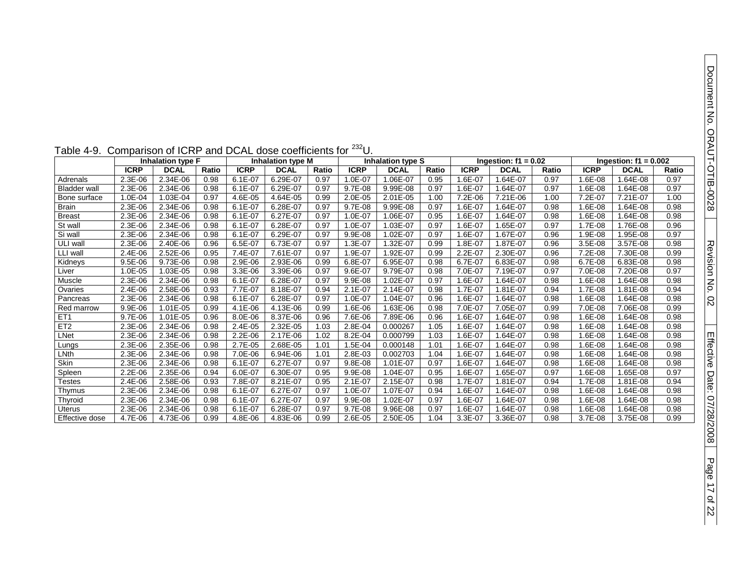Page 17

of 22

| aple 4-9.           | Comparison of ICRP and DCAL dose coefficients for<br>U. |                          |       |             |                          |       |             |                          |       |             |                        |       |             |                         |       |
|---------------------|---------------------------------------------------------|--------------------------|-------|-------------|--------------------------|-------|-------------|--------------------------|-------|-------------|------------------------|-------|-------------|-------------------------|-------|
|                     |                                                         | <b>Inhalation type F</b> |       |             | <b>Inhalation type M</b> |       |             | <b>Inhalation type S</b> |       |             | Ingestion: $f1 = 0.02$ |       |             | Ingestion: $f1 = 0.002$ |       |
|                     | <b>ICRP</b>                                             | <b>DCAL</b>              | Ratio | <b>ICRP</b> | <b>DCAL</b>              | Ratio | <b>ICRP</b> | <b>DCAL</b>              | Ratio | <b>ICRP</b> | <b>DCAL</b>            | Ratio | <b>ICRP</b> | <b>DCAL</b>             | Ratio |
| Adrenals            | 2.3E-06                                                 | 2.34E-06                 | 0.98  | $6.1E - 07$ | 6.29E-07                 | 0.97  | 1.0E-07     | 1.06E-07                 | 0.95  | 1.6E-07     | .64E-07                | 0.97  | 1.6E-08     | 1.64E-08                | 0.97  |
| <b>Bladder wall</b> | 2.3E-06                                                 | 2.34E-06                 | 0.98  | $6.1E - 07$ | 6.29E-07                 | 0.97  | $9.7E-08$   | 9.99E-08                 | 0.97  | 1.6E-07     | 1.64E-07               | 0.97  | 1.6E-08     | 1.64E-08                | 0.97  |
| Bone surface        | 1.0E-04                                                 | 1.03E-04                 | 0.97  | 4.6E-05     | 4.64E-05                 | 0.99  | 2.0E-05     | 2.01E-05                 | 1.00  | 7.2E-06     | 7.21E-06               | 1.00  | 7.2E-07     | 7.21E-07                | 1.00  |
| <b>Brain</b>        | 2.3E-06                                                 | 2.34E-06                 | 0.98  | $6.1E-07$   | 6.28E-07                 | 0.97  | $9.7E-08$   | 9.99E-08                 | 0.97  | 1.6E-07     | $.64E-07$              | 0.98  | 1.6E-08     | 1.64E-08                | 0.98  |
| <b>Breast</b>       | $2.3E-06$                                               | 2.34E-06                 | 0.98  | $6.1E - 07$ | 6.27E-07                 | 0.97  | 1.0E-07     | 1.06E-07                 | 0.95  | 1.6E-07     | $.64E-07$              | 0.98  | 1.6E-08     | 1.64E-08                | 0.98  |
| St wall             | 2.3E-06                                                 | 2.34E-06                 | 0.98  | $6.1E-07$   | 6.28E-07                 | 0.97  | 1.0E-07     | 1.03E-07                 | 0.97  | 1.6E-07     | $.65E-07$              | 0.97  | 1.7E-08     | 1.76E-08                | 0.96  |
| Si wall             | 2.3E-06                                                 | 2.34E-06                 | 0.98  | $6.1E - 07$ | 6.29E-07                 | 0.97  | 9.9E-08     | 1.02E-07                 | 0.97  | 1.6E-07     | 1.67E-07               | 0.96  | 1.9E-08     | 1.95E-08                | 0.97  |
| ULI wall            | 2.3E-06                                                 | 2.40E-06                 | 0.96  | 6.5E-07     | 6.73E-07                 | 0.97  | 1.3E-07     | 1.32E-07                 | 0.99  | 1.8E-07     | 1.87E-07               | 0.96  | 3.5E-08     | 3.57E-08                | 0.98  |
| LLI wall            | $2.4E-06$                                               | 2.52E-06                 | 0.95  | 7.4E-07     | 7.61E-07                 | 0.97  | 1.9E-07     | 1.92E-07                 | 0.99  | 2.2E-07     | 2.30E-07               | 0.96  | 7.2E-08     | 7.30E-08                | 0.99  |
| Kidneys             | $9.5E-06$                                               | 9.73E-06                 | 0.98  | 2.9E-06     | 2.93E-06                 | 0.99  | 6.8E-07     | 6.95E-07                 | 0.98  | 6.7E-07     | 6.83E-07               | 0.98  | 6.7E-08     | 6.83E-08                | 0.98  |
| Liver               | 1.0E-05                                                 | 1.03E-05                 | 0.98  | 3.3E-06     | 3.39E-06                 | 0.97  | 9.6E-07     | 9.79E-07                 | 0.98  | 7.0E-07     | 7.19E-07               | 0.97  | 7.0E-08     | 7.20E-08                | 0.97  |
| Muscle              | 2.3E-06                                                 | 2.34E-06                 | 0.98  | $6.1E - 07$ | 6.28E-07                 | 0.97  | 9.9E-08     | 1.02E-07                 | 0.97  | 1.6E-07     | 1.64E-07               | 0.98  | 1.6E-08     | 1.64E-08                | 0.98  |
| Ovaries             | 2.4E-06                                                 | 2.58E-06                 | 0.93  | 7.7E-07     | 8.18E-07                 | 0.94  | $2.1E-07$   | 2.14E-07                 | 0.98  | 1.7E-07     | 1.81E-07               | 0.94  | 1.7E-08     | 1.81E-08                | 0.94  |
| Pancreas            | 2.3E-06                                                 | 2.34E-06                 | 0.98  | $6.1E - 07$ | 6.28E-07                 | 0.97  | 1.0E-07     | 1.04E-07                 | 0.96  | 1.6E-07     | 1.64E-07               | 0.98  | 1.6E-08     | 1.64E-08                | 0.98  |
| Red marrow          | 9.9E-06                                                 | 1.01E-05                 | 0.99  | 4.1E-06     | 4.13E-06                 | 0.99  | 1.6E-06     | 1.63E-06                 | 0.98  | 7.0E-07     | 7.05E-07               | 0.99  | 7.0E-08     | 7.06E-08                | 0.99  |
| ET <sub>1</sub>     | 9.7E-06                                                 | 1.01E-05                 | 0.96  | 8.0E-06     | 8.37E-06                 | 0.96  | 7.6E-06     | 7.89E-06                 | 0.96  | 1.6E-07     | $.64E-07$              | 0.98  | 1.6E-08     | 1.64E-08                | 0.98  |
| ET2                 | 2.3E-06                                                 | 2.34E-06                 | 0.98  | 2.4E-05     | 2.32E-05                 | 1.03  | 2.8E-04     | 0.000267                 | 1.05  | 1.6E-07     | $.64E-07$              | 0.98  | 1.6E-08     | 1.64E-08                | 0.98  |
| LNet                | 2.3E-06                                                 | 2.34E-06                 | 0.98  | $2.2E-06$   | 2.17E-06                 | 1.02  | 8.2E-04     | 0.000799                 | 1.03  | 1.6E-07     | $.64E - 07$            | 0.98  | 1.6E-08     | 1.64E-08                | 0.98  |
| Lungs               | 2.3E-06                                                 | 2.35E-06                 | 0.98  | 2.7E-05     | 2.68E-05                 | 1.01  | 1.5E-04     | 0.000148                 | 1.01  | 1.6E-07     | $.64E-07$              | 0.98  | 1.6E-08     | 1.64E-08                | 0.98  |
| LNth                | 2.3E-06                                                 | 2.34E-06                 | 0.98  | 7.0E-06     | 6.94E-06                 | 1.01  | 2.8E-03     | 0.002703                 | 1.04  | 1.6E-07     | $.64E-07$              | 0.98  | 1.6E-08     | 1.64E-08                | 0.98  |
| Skin                | 2.3E-06                                                 | 2.34E-06                 | 0.98  | $6.1E-07$   | 6.27E-07                 | 0.97  | 9.8E-08     | 1.01E-07                 | 0.97  | 1.6E-07     | $.64E - 07$            | 0.98  | 1.6E-08     | 1.64E-08                | 0.98  |
| Spleen              | $2.2E-06$                                               | 2.35E-06                 | 0.94  | $6.0E - 07$ | 6.30E-07                 | 0.95  | 9.9E-08     | 1.04E-07                 | 0.95  | 1.6E-07     | .65E-07                | 0.97  | 1.6E-08     | 1.65E-08                | 0.97  |
| <b>Testes</b>       | 2.4E-06                                                 | 2.58E-06                 | 0.93  | 7.8E-07     | 8.21E-07                 | 0.95  | $2.1E-07$   | 2.15E-07                 | 0.98  | 1.7E-07     | $.81E - 07$            | 0.94  | 1.7E-08     | 1.81E-08                | 0.94  |
| Thymus              | 2.3E-06                                                 | 2.34E-06                 | 0.98  | $6.1E - 07$ | 6.27E-07                 | 0.97  | 1.0E-07     | 1.07E-07                 | 0.94  | 1.6E-07     | $.64E-07$              | 0.98  | 1.6E-08     | 1.64E-08                | 0.98  |
| Thyroid             | $2.3E-06$                                               | 2.34E-06                 | 0.98  | $6.1E - 07$ | 6.27E-07                 | 0.97  | 9.9E-08     | 1.02E-07                 | 0.97  | 1.6E-07     | $.64E - 07$            | 0.98  | 1.6E-08     | 1.64E-08                | 0.98  |
| <b>Uterus</b>       | 2.3E-06                                                 | 2.34E-06                 | 0.98  | $6.1E-07$   | 6.28E-07                 | 0.97  | 9.7E-08     | 9.96E-08                 | 0.97  | 1.6E-07     | $.64E - 07$            | 0.98  | 1.6E-08     | 1.64E-08                | 0.98  |
| Effective dose      | 4.7E-06                                                 | 4.73E-06                 | 0.99  | 4.8E-06     | 4.83E-06                 | 0.99  | 2.6E-05     | 2.50E-05                 | 1.04  | 3.3E-07     | 3.36E-07               | 0.98  | 3.7E-08     | 3.75E-08                | 0.99  |

### Table 4-9. Comparison of ICRP and DCAL dose coefficients for <sup>232</sup>U.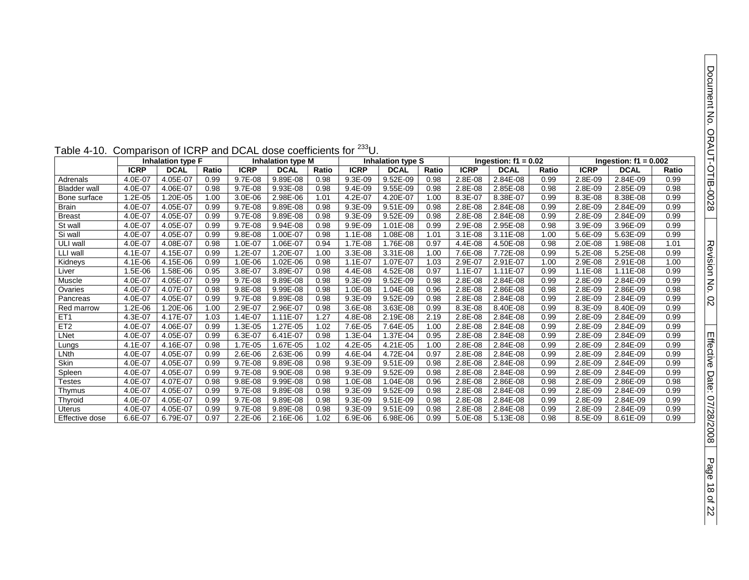| f1 =<br>١L                             | 0.002<br>Ratio      | Document No. ORACH-OTIB-0028          |
|----------------------------------------|---------------------|---------------------------------------|
|                                        |                     |                                       |
|                                        | 0.99                |                                       |
|                                        | 0.98                |                                       |
| $\frac{-09}{-08}$<br>$\frac{-08}{-09}$ | 0.99                |                                       |
|                                        | 0.99                |                                       |
| $\frac{-09}{-09}$                      | 0.99                |                                       |
|                                        | 0.99                |                                       |
| $-09$                                  | 0.99                |                                       |
| $\frac{-08}{-08}$                      | 1.01                |                                       |
|                                        | 0.99                | Revision No. 02                       |
| $\frac{-08}{-08}$                      | $\frac{1.00}{0.99}$ |                                       |
|                                        |                     |                                       |
| $-09$                                  | 0.99                |                                       |
| $-09$                                  | 0.98                |                                       |
| $-09$                                  | 0.99                |                                       |
| $-09$                                  | 0.99                |                                       |
|                                        | 0.99                |                                       |
|                                        | 0.99                |                                       |
| $\frac{1}{-09}$<br>$\frac{-09}{-09}$   | 0.99                |                                       |
| $-09$                                  | 0.99                |                                       |
|                                        |                     |                                       |
| $\frac{1}{-09}$<br>$\frac{-09}{-09}$   | $\frac{0.99}{0.99}$ |                                       |
|                                        | 0.99                |                                       |
| $-09$                                  | 0.98                |                                       |
| $-09$                                  | 0.99                |                                       |
| $-09$                                  | 0.99                |                                       |
| $-09$                                  | 0.99                |                                       |
| $-09$                                  | 0.99                |                                       |
|                                        |                     | Effective Date: 07/28/2008<br>Page 18 |
|                                        |                     |                                       |

of 22

|  | Table 4-10. Comparison of ICRP and DCAL dose coefficients for <sup>233</sup> U. |  |
|--|---------------------------------------------------------------------------------|--|
|--|---------------------------------------------------------------------------------|--|

|                       |             | <b>Inhalation type F</b> |       |             | <b>Inhalation type M</b> |       |             | <b>Inhalation type S</b> |       |             | Ingestion: $f1 = 0.02$ |       | Ingestion: $f1 = 0.002$ |             |       |
|-----------------------|-------------|--------------------------|-------|-------------|--------------------------|-------|-------------|--------------------------|-------|-------------|------------------------|-------|-------------------------|-------------|-------|
|                       | <b>ICRP</b> | <b>DCAL</b>              | Ratio | <b>ICRP</b> | <b>DCAL</b>              | Ratio | <b>ICRP</b> | <b>DCAL</b>              | Ratio | <b>ICRP</b> | <b>DCAL</b>            | Ratio | <b>ICRP</b>             | <b>DCAL</b> | Ratio |
| Adrenals              | 4.0E-07     | 4.05E-07                 | 0.99  | 9.7E-08     | 9.89E-08                 | 0.98  | $9.3E-09$   | 9.52E-09                 | 0.98  | 2.8E-08     | 2.84E-08               | 0.99  | 2.8E-09                 | 2.84E-09    | 0.99  |
| <b>Bladder</b> wall   | 4.0E-07     | 4.06E-07                 | 0.98  | 9.7E-08     | 9.93E-08                 | 0.98  | $9.4E - 09$ | $9.55E-09$               | 0.98  | 2.8E-08     | 2.85E-08               | 0.98  | 2.8E-09                 | 2.85E-09    | 0.98  |
| <b>Bone surface</b>   | $.2E - 05$  | 1.20E-05                 | 1.00  | 3.0E-06     | 2.98E-06                 | 1.01  | 4.2E-07     | 4.20E-07                 | 1.00  | 8.3E-07     | 8.38E-07               | 0.99  | 8.3E-08                 | 8.38E-08    | 0.99  |
| Brain                 | 4.0E-07     | 4.05E-07                 | 0.99  | 9.7E-08     | 9.89E-08                 | 0.98  | 9.3E-09     | 9.51E-09                 | 0.98  | 2.8E-08     | 2.84E-08               | 0.99  | 2.8E-09                 | 2.84E-09    | 0.99  |
| <b>Breast</b>         | $4.0E - 07$ | 4.05E-07                 | 0.99  | 9.7E-08     | 9.89E-08                 | 0.98  | 9.3E-09     | 9.52E-09                 | 0.98  | 2.8E-08     | 2.84E-08               | 0.99  | 2.8E-09                 | 2.84E-09    | 0.99  |
| St wall               | 4.0E-07     | 4.05E-07                 | 0.99  | 9.7E-08     | $9.94E - 08$             | 0.98  | $9.9E-09$   | 1.01E-08                 | 0.99  | $2.9E-08$   | 2.95E-08               | 0.98  | 3.9E-09                 | 3.96E-09    | 0.99  |
| Si wall               | 4.0E-07     | 4.05E-07                 | 0.99  | 9.8E-08     | 1.00E-07                 | 0.98  | $1.1E-08$   | 1.08E-08                 | 1.01  | $3.1E-08$   | 3.11E-08               | 1.00  | 5.6E-09                 | 5.63E-09    | 0.99  |
| ULI wall              | 4.0E-07     | 4.08E-07                 | 0.98  | 1.0E-07     | 1.06E-07                 | 0.94  | 1.7E-08     | 1.76E-08                 | 0.97  | 4.4E-08     | 4.50E-08               | 0.98  | $2.0E-08$               | 1.98E-08    | 1.01  |
| LLI wall              | $4.1E-07$   | 4.15E-07                 | 0.99  | $.2E-07$    | 1.20E-07                 | 1.00  | 3.3E-08     | 3.31E-08                 | 1.00  | 7.6E-08     | 7.72E-08               | 0.99  | 5.2E-08                 | 5.25E-08    | 0.99  |
| Kidneys               | $4.1E - 06$ | 4.15E-06                 | 0.99  | 1.0E-06     | 1.02E-06                 | 0.98  | $1.1E-07$   | 1.07E-07                 | 1.03  | 2.9E-07     | 2.91E-07               | 1.00  | 2.9E-08                 | $2.91E-08$  | 1.00  |
| Liver                 | $.5E-06$    | 1.58E-06                 | 0.95  | 3.8E-07     | 3.89E-07                 | 0.98  | 4.4E-08     | 4.52E-08                 | 0.97  | $1.1E - 07$ | 1.11E-07               | 0.99  | $1.1E-08$               | 1.11E-08    | 0.99  |
| Muscle                | 4.0E-07     | 4.05E-07                 | 0.99  | 9.7E-08     | 9.89E-08                 | 0.98  | 9.3E-09     | 9.52E-09                 | 0.98  | 2.8E-08     | 2.84E-08               | 0.99  | 2.8E-09                 | 2.84E-09    | 0.99  |
| Ovaries               | 4.0E-07     | 4.07E-07                 | 0.98  | 9.8E-08     | 9.99E-08                 | 0.98  | 1.0E-08     | 1.04E-08                 | 0.96  | 2.8E-08     | 2.86E-08               | 0.98  | 2.8E-09                 | 2.86E-09    | 0.98  |
| Pancreas              | 4.0E-07     | 4.05E-07                 | 0.99  | 9.7E-08     | 9.89E-08                 | 0.98  | $9.3E-09$   | 9.52E-09                 | 0.98  | 2.8E-08     | 2.84E-08               | 0.99  | 2.8E-09                 | 2.84E-09    | 0.99  |
| Red marrow            | $.2E - 06$  | 1.20E-06                 | 1.00  | 2.9E-07     | 2.96E-07                 | 0.98  | 3.6E-08     | 3.63E-08                 | 0.99  | 8.3E-08     | 8.40E-08               | 0.99  | 8.3E-09                 | 8.40E-09    | 0.99  |
| ET <sub>1</sub>       | 4.3E-07     | 4.17E-07                 | 1.03  | $1.4E-07$   | 1.11E-07                 | 1.27  | 4.8E-08     | 2.19E-08                 | 2.19  | 2.8E-08     | 2.84E-08               | 0.99  | 2.8E-09                 | 2.84E-09    | 0.99  |
| ET <sub>2</sub>       | 4.0E-07     | 4.06E-07                 | 0.99  | $.3E-05$    | 1.27E-05                 | 1.02  | 7.6E-05     | 7.64E-05                 | 1.00  | 2.8E-08     | 2.84E-08               | 0.99  | 2.8E-09                 | 2.84E-09    | 0.99  |
| <b>LNet</b>           | 4.0E-07     | 4.05E-07                 | 0.99  | 6.3E-07     | 6.41E-07                 | 0.98  | 1.3E-04     | .37E-04                  | 0.95  | 2.8E-08     | 2.84E-08               | 0.99  | 2.8E-09                 | 2.84E-09    | 0.99  |
| Lungs                 | $4.1E - 07$ | 4.16E-07                 | 0.98  | 1.7E-05     | 1.67E-05                 | 1.02  | 4.2E-05     | 4.21E-05                 | 1.00  | 2.8E-08     | 2.84E-08               | 0.99  | 2.8E-09                 | 2.84E-09    | 0.99  |
| LNth                  | 4.0E-07     | 4.05E-07                 | 0.99  | 2.6E-06     | 2.63E-06                 | 0.99  | 4.6E-04     | 4.72E-04                 | 0.97  | 2.8E-08     | 2.84E-08               | 0.99  | 2.8E-09                 | 2.84E-09    | 0.99  |
| Skin                  | $4.0E - 07$ | 4.05E-07                 | 0.99  | 9.7E-08     | 9.89E-08                 | 0.98  | 9.3E-09     | $9.51E-09$               | 0.98  | 2.8E-08     | 2.84E-08               | 0.99  | 2.8E-09                 | 2.84E-09    | 0.99  |
| Spleen                | 4.0E-07     | 4.05E-07                 | 0.99  | 9.7E-08     | 9.90E-08                 | 0.98  | 9.3E-09     | 9.52E-09                 | 0.98  | 2.8E-08     | 2.84E-08               | 0.99  | 2.8E-09                 | 2.84E-09    | 0.99  |
| Testes                | 4.0E-07     | 4.07E-07                 | 0.98  | 9.8E-08     | 9.99E-08                 | 0.98  | $1.0E-08$   | 1.04E-08                 | 0.96  | 2.8E-08     | 2.86E-08               | 0.98  | 2.8E-09                 | 2.86E-09    | 0.98  |
| <b>Thymus</b>         | $4.0E - 07$ | 4.05E-07                 | 0.99  | 9.7E-08     | 9.89E-08                 | 0.98  | $9.3E-09$   | 9.52E-09                 | 0.98  | 2.8E-08     | 2.84E-08               | 0.99  | 2.8E-09                 | 2.84E-09    | 0.99  |
| Thyroid               | 4.0E-07     | 4.05E-07                 | 0.99  | 9.7E-08     | 9.89E-08                 | 0.98  | 9.3E-09     | 9.51E-09                 | 0.98  | 2.8E-08     | 2.84E-08               | 0.99  | 2.8E-09                 | 2.84E-09    | 0.99  |
| Uterus                | 4.0E-07     | 4.05E-07                 | 0.99  | 9.7E-08     | 9.89E-08                 | 0.98  | 9.3E-09     | 9.51E-09                 | 0.98  | 2.8E-08     | 2.84E-08               | 0.99  | 2.8E-09                 | 2.84E-09    | 0.99  |
| <b>Effective dose</b> | 6.6E-07     | 6.79E-07                 | 0.97  | $2.2E - 06$ | 2.16E-06                 | 1.02  | $6.9E-06$   | 6.98E-06                 | 0.99  | 5.0E-08     | 5.13E-08               | 0.98  | 8.5E-09                 | 8.61E-09    | 0.99  |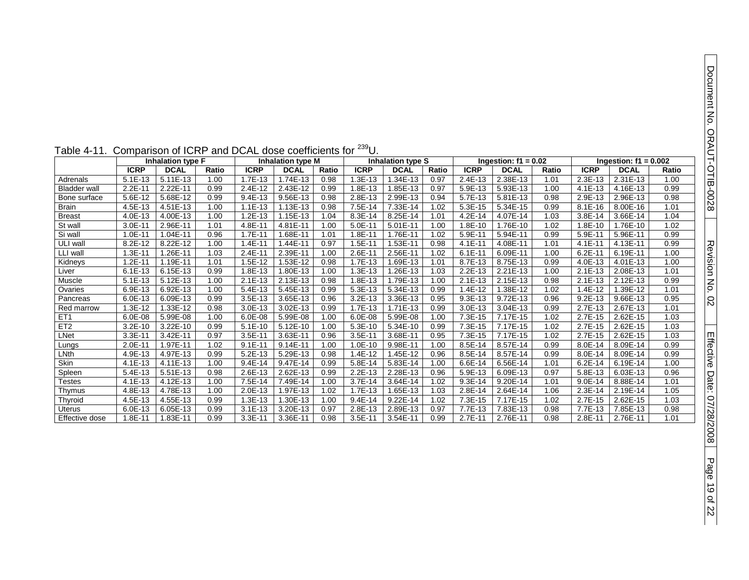| able 4-11.          | Comparison of ICRP and DCAL dose coefficients for<br><sup>-∽</sup> ປ |                   |       |             |                   |       |             |                          |       |             |                        |       |             |                         |       |
|---------------------|----------------------------------------------------------------------|-------------------|-------|-------------|-------------------|-------|-------------|--------------------------|-------|-------------|------------------------|-------|-------------|-------------------------|-------|
|                     |                                                                      | Inhalation type F |       |             | Inhalation type M |       |             | <b>Inhalation type S</b> |       |             | Ingestion: $f1 = 0.02$ |       |             | Ingestion: $f1 = 0.002$ |       |
|                     | <b>ICRP</b>                                                          | <b>DCAL</b>       | Ratio | <b>ICRP</b> | <b>DCAL</b>       | Ratio | <b>ICRP</b> | <b>DCAL</b>              | Ratio | <b>ICRP</b> | <b>DCAL</b>            | Ratio | <b>ICRP</b> | <b>DCAL</b>             | Ratio |
| Adrenals            | $5.1E-13$                                                            | $5.11E - 13$      | 1.00  | 1.7E-13     | 1.74E-13          | 0.98  | .3E-13      | 1.34E-13                 | 0.97  | 2.4E-13     | 2.38E-13               | 1.01  | 2.3E-13     | 2.31E-13                | 1.00  |
| <b>Bladder wall</b> | 2.2E-11                                                              | 2.22E-11          | 0.99  | 2.4E-12     | 2.43E-12          | 0.99  | 1.8E-13     | 1.85E-13                 | 0.97  | 5.9E-13     | 5.93E-13               | 1.00  | $4.1E - 13$ | 4.16E-13                | 0.99  |
| Bone surface        | 5.6E-12                                                              | 5.68E-12          | 0.99  | 9.4E-13     | 9.56E-13          | 0.98  | 2.8E-13     | 2.99E-13                 | 0.94  | 5.7E-13     | 5.81E-13               | 0.98  | 2.9E-13     | 2.96E-13                | 0.98  |
| <b>Brain</b>        | 4.5E-13                                                              | 4.51E-13          | 1.00  | $1.1E-13$   | 1.13E-13          | 0.98  | 7.5E-14     | 7.33E-14                 | 1.02  | 5.3E-15     | 5.34E-15               | 0.99  | $8.1E - 16$ | 8.00E-16                | 1.01  |
| <b>Breast</b>       | 4.0E-13                                                              | 4.00E-13          | 1.00  | $1.2E-13$   | 1.15E-13          | 1.04  | $8.3E - 14$ | 8.25E-14                 | 1.01  | $4.2E - 14$ | 4.07E-14               | 1.03  | 3.8E-14     | 3.66E-14                | 1.04  |
| St wall             | 3.0E-11                                                              | 2.96E-11          | 1.01  | 4.8E-11     | 4.81E-11          | 1.00  | 5.0E-11     | $5.01E - 11$             | 1.00  | 1.8E-10     | 1.76E-10               | 1.02  | 1.8E-10     | 1.76E-10                | 1.02  |
| Si wall             | 1.0E-11                                                              | 1.04E-11          | 0.96  | 1.7E-11     | 1.68E-11          | 1.01  | 1.8E-11     | 1.76E-11                 | 1.02  | 5.9E-11     | 5.94E-11               | 0.99  | 5.9E-11     | 5.96E-11                | 0.99  |
| ULI wall            | 8.2E-12                                                              | 8.22E-12          | 1.00  | $1.4E - 11$ | 1.44E-11          | 0.97  | .5E-11      | 1.53E-11                 | 0.98  | $4.1E - 11$ | 4.08E-11               | 1.01  | $4.1E - 11$ | 4.13E-11                | 0.99  |
| LLI wall            | $1.3E - 11$                                                          | 1.26E-11          | 1.03  | 2.4E-11     | 2.39E-11          | 1.00  | 2.6E-11     | 2.56E-11                 | 1.02  | $6.1E - 11$ | 6.09E-11               | 1.00  | $6.2E - 11$ | 6.19E-11                | 1.00  |
| Kidneys             | $1.2E - 11$                                                          | 1.19E-11          | 1.01  | 1.5E-12     | 1.53E-12          | 0.98  | $1.7E-13$   | 1.69E-13                 | 1.01  | 8.7E-13     | 8.75E-13               | 0.99  | 4.0E-13     | 4.01E-13                | 1.00  |
| Liver               | $6.1E-13$                                                            | 6.15E-13          | 0.99  | 1.8E-13     | 1.80E-13          | 1.00  | $.3E-13$    | 1.26E-13                 | 1.03  | 2.2E-13     | 2.21E-13               | 1.00  | $2.1E-13$   | 2.08E-13                | 1.01  |
| Muscle              | $5.1E-13$                                                            | 5.12E-13          | 1.00  | $2.1E-13$   | 2.13E-13          | 0.98  | 1.8E-13     | 1.79E-13                 | 1.00  | $2.1E-13$   | 2.15E-13               | 0.98  | $2.1E-13$   | 2.12E-13                | 0.99  |
| Ovaries             | 6.9E-13                                                              | 6.92E-13          | 1.00  | $5.4E-13$   | 5.45E-13          | 0.99  | $5.3E-13$   | 5.34E-13                 | 0.99  | $1.4E-12$   | 1.38E-12               | 1.02  | $1.4E - 12$ | 1.39E-12                | 1.01  |
| Pancreas            | 6.0E-13                                                              | 6.09E-13          | 0.99  | 3.5E-13     | 3.65E-13          | 0.96  | $3.2E - 13$ | 3.36E-13                 | 0.95  | $9.3E-13$   | 9.72E-13               | 0.96  | $9.2E - 13$ | 9.66E-13                | 0.95  |
| Red marrow          | 1.3E-12                                                              | 1.33E-12          | 0.98  | 3.0E-13     | 3.02E-13          | 0.99  | 1.7E-13     | 1.71E-13                 | 0.99  | 3.0E-13     | 3.04E-13               | 0.99  | 2.7E-13     | 2.67E-13                | 1.01  |
| ET <sub>1</sub>     | 6.0E-08                                                              | 5.99E-08          | 1.00  | $6.0E - 08$ | 5.99E-08          | 1.00  | $6.0E - 08$ | 5.99E-08                 | 1.00  | 7.3E-15     | 7.17E-15               | 1.02  | 2.7E-15     | 2.62E-15                | 1.03  |
| ET <sub>2</sub>     | $3.2E - 10$                                                          | 3.22E-10          | 0.99  | $5.1E-10$   | 5.12E-10          | 1.00  | $5.3E-10$   | 5.34E-10                 | 0.99  | 7.3E-15     | 7.17E-15               | 1.02  | $2.7E-15$   | 2.62E-15                | 1.03  |
| LNet                | $3.3E - 11$                                                          | 3.42E-11          | 0.97  | 3.5E-11     | 3.63E-11          | 0.96  | $3.5E-11$   | 3.68E-11                 | 0.95  | 7.3E-15     | 7.17E-15               | 1.02  | 2.7E-15     | 2.62E-15                | 1.03  |
| Lungs               | 2.0E-11                                                              | 1.97E-11          | 1.02  | $9.1E - 11$ | 9.14E-11          | 1.00  | $.0E-10$    | 9.98E-11                 | 1.00  | 8.5E-14     | 8.57E-14               | 0.99  | 8.0E-14     | 8.09E-14                | 0.99  |
| LNth                | 4.9E-13                                                              | 4.97E-13          | 0.99  | $5.2E-13$   | 5.29E-13          | 0.98  | $1.4E-12$   | 1.45E-12                 | 0.96  | 8.5E-14     | 8.57E-14               | 0.99  | 8.0E-14     | 8.09E-14                | 0.99  |
| Skin                | 4.1E-13                                                              | 4.11E-13          | 1.00  | $9.4E - 14$ | 9.47E-14          | 0.99  | 5.8E-14     | 5.83E-14                 | 1.00  | 6.6E-14     | 6.56E-14               | 1.01  | $6.2E-14$   | 6.19E-14                | 1.00  |
| Spleen              | 5.4E-13                                                              | $5.51E-13$        | 0.98  | 2.6E-13     | 2.62E-13          | 0.99  | $2.2E - 13$ | 2.28E-13                 | 0.96  | 5.9E-13     | 6.09E-13               | 0.97  | 5.8E-13     | 6.03E-13                | 0.96  |
| <b>Testes</b>       | 4.1E-13                                                              | 4.12E-13          | 1.00  | 7.5E-14     | 7.49E-14          | 1.00  | $3.7E - 14$ | 3.64E-14                 | 1.02  | $9.3E - 14$ | 9.20E-14               | 1.01  | $9.0E - 14$ | 8.88E-14                | 1.01  |
| Thymus              | 4.8E-13                                                              | 4.78E-13          | 1.00  | 2.0E-13     | 1.97E-13          | 1.02  | 1.7E-13     | 1.65E-13                 | 1.03  | 2.8E-14     | 2.64E-14               | 1.06  | $2.3E-14$   | 2.19E-14                | 1.05  |
| Thyroid             | 4.5E-13                                                              | 4.55E-13          | 0.99  | 1.3E-13     | 1.30E-13          | 1.00  | $9.4E-14$   | 9.22E-14                 | 1.02  | 7.3E-15     | 7.17E-15               | 1.02  | 2.7E-15     | 2.62E-15                | 1.03  |
| <b>Uterus</b>       | 6.0E-13                                                              | 6.05E-13          | 0.99  | $3.1E-13$   | 3.20E-13          | 0.97  | 2.8E-13     | 2.89E-13                 | 0.97  | 7.7E-13     | 7.83E-13               | 0.98  | 7.7E-13     | 7.85E-13                | 0.98  |
| Effective dose      | 1.8E-11                                                              | 1.83E-11          | 0.99  | $3.3E - 11$ | 3.36E-11          | 0.98  | $3.5E - 11$ | 3.54E-11                 | 0.99  | $2.7E-11$   | 2.76E-11               | 0.98  | 2.8E-11     | 2.76E-11                | 1.01  |

### Table 4-11. Comparison of ICRP and DCAL dose coefficients for <sup>239</sup>U.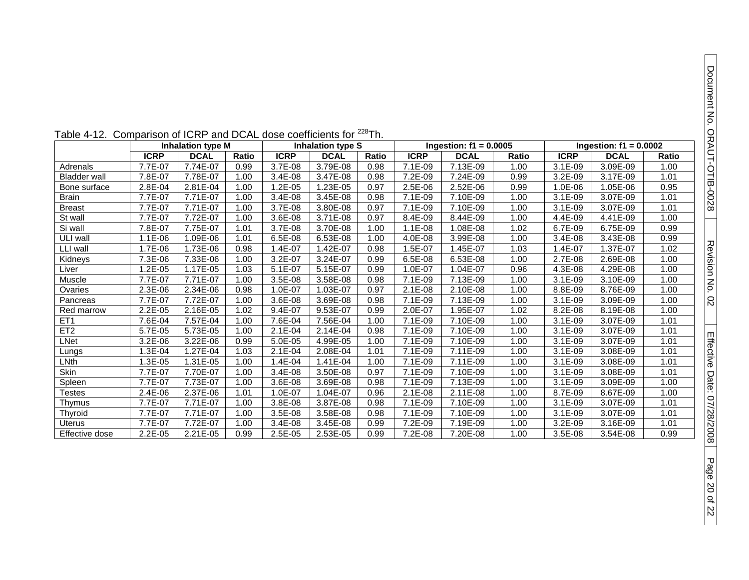| Table 4-12. Comparison of ICRP and DCAL dose coefficients for <sup>226</sup> Th. |             |                          |       |             |                          |       |             |                          |       |             |                          |       |
|----------------------------------------------------------------------------------|-------------|--------------------------|-------|-------------|--------------------------|-------|-------------|--------------------------|-------|-------------|--------------------------|-------|
|                                                                                  |             | <b>Inhalation type M</b> |       |             | <b>Inhalation type S</b> |       |             | Ingestion: $f1 = 0.0005$ |       |             | Ingestion: $f1 = 0.0002$ |       |
|                                                                                  | <b>ICRP</b> | <b>DCAL</b>              | Ratio | <b>ICRP</b> | <b>DCAL</b>              | Ratio | <b>ICRP</b> | <b>DCAL</b>              | Ratio | <b>ICRP</b> | <b>DCAL</b>              | Ratio |
| Adrenals                                                                         | 7.7E-07     | 7.74E-07                 | 0.99  | 3.7E-08     | 3.79E-08                 | 0.98  | 7.1E-09     | 7.13E-09                 | 1.00  | $3.1E-09$   | 3.09E-09                 | 1.00  |
| <b>Bladder wall</b>                                                              | 7.8E-07     | 7.78E-07                 | 1.00  | $3.4E-08$   | 3.47E-08                 | 0.98  | 7.2E-09     | 7.24E-09                 | 0.99  | $3.2E-09$   | 3.17E-09                 | 1.01  |
| Bone surface                                                                     | 2.8E-04     | 2.81E-04                 | 1.00  | 1.2E-05     | 1.23E-05                 | 0.97  | 2.5E-06     | 2.52E-06                 | 0.99  | 1.0E-06     | 1.05E-06                 | 0.95  |
| <b>Brain</b>                                                                     | 7.7E-07     | 7.71E-07                 | 1.00  | 3.4E-08     | 3.45E-08                 | 0.98  | 7.1E-09     | 7.10E-09                 | 1.00  | 3.1E-09     | 3.07E-09                 | 1.01  |
| <b>Breast</b>                                                                    | 7.7E-07     | 7.71E-07                 | 1.00  | 3.7E-08     | 3.80E-08                 | 0.97  | 7.1E-09     | 7.10E-09                 | 1.00  | 3.1E-09     | 3.07E-09                 | 1.01  |
| St wall                                                                          | 7.7E-07     | 7.72E-07                 | 1.00  | 3.6E-08     | 3.71E-08                 | 0.97  | 8.4E-09     | 8.44E-09                 | 1.00  | 4.4E-09     | 4.41E-09                 | 1.00  |
| Si wall                                                                          | 7.8E-07     | 7.75E-07                 | 1.01  | 3.7E-08     | 3.70E-08                 | 1.00  | 1.1E-08     | 1.08E-08                 | 1.02  | 6.7E-09     | 6.75E-09                 | 0.99  |
| ULI wall                                                                         | 1.1E-06     | 1.09E-06                 | 1.01  | 6.5E-08     | 6.53E-08                 | 1.00  | 4.0E-08     | 3.99E-08                 | 1.00  | 3.4E-08     | 3.43E-08                 | 0.99  |
| LLI wall                                                                         | 1.7E-06     | 1.73E-06                 | 0.98  | 1.4E-07     | 1.42E-07                 | 0.98  | 1.5E-07     | 1.45E-07                 | 1.03  | 1.4E-07     | 1.37E-07                 | 1.02  |
| Kidneys                                                                          | 7.3E-06     | 7.33E-06                 | 1.00  | 3.2E-07     | 3.24E-07                 | 0.99  | 6.5E-08     | 6.53E-08                 | 1.00  | 2.7E-08     | 2.69E-08                 | 1.00  |
| Liver                                                                            | 1.2E-05     | 1.17E-05                 | 1.03  | 5.1E-07     | 5.15E-07                 | 0.99  | 1.0E-07     | 1.04E-07                 | 0.96  | 4.3E-08     | 4.29E-08                 | 1.00  |
| Muscle                                                                           | 7.7E-07     | 7.71E-07                 | 1.00  | 3.5E-08     | 3.58E-08                 | 0.98  | 7.1E-09     | 7.13E-09                 | 1.00  | $3.1E-09$   | 3.10E-09                 | 1.00  |
| Ovaries                                                                          | $2.3E-06$   | 2.34E-06                 | 0.98  | 1.0E-07     | 1.03E-07                 | 0.97  | $2.1E-08$   | 2.10E-08                 | 1.00  | 8.8E-09     | 8.76E-09                 | 1.00  |
| Pancreas                                                                         | 7.7E-07     | 7.72E-07                 | 1.00  | 3.6E-08     | 3.69E-08                 | 0.98  | 7.1E-09     | 7.13E-09                 | 1.00  | $3.1E-09$   | 3.09E-09                 | 1.00  |
| Red marrow                                                                       | 2.2E-05     | 2.16E-05                 | 1.02  | 9.4E-07     | 9.53E-07                 | 0.99  | 2.0E-07     | 1.95E-07                 | 1.02  | 8.2E-08     | 8.19E-08                 | 1.00  |
| ET <sub>1</sub>                                                                  | 7.6E-04     | 7.57E-04                 | 1.00  | 7.6E-04     | 7.56E-04                 | 1.00  | 7.1E-09     | 7.10E-09                 | 1.00  | $3.1E-09$   | 3.07E-09                 | 1.01  |
| ET <sub>2</sub>                                                                  | 5.7E-05     | 5.73E-05                 | 1.00  | $2.1E-04$   | 2.14E-04                 | 0.98  | 7.1E-09     | 7.10E-09                 | 1.00  | $3.1E-09$   | 3.07E-09                 | 1.01  |
| LNet                                                                             | 3.2E-06     | 3.22E-06                 | 0.99  | 5.0E-05     | 4.99E-05                 | 1.00  | 7.1E-09     | 7.10E-09                 | 1.00  | $3.1E-09$   | 3.07E-09                 | 1.01  |
| Lungs                                                                            | 1.3E-04     | 1.27E-04                 | 1.03  | $2.1E-04$   | 2.08E-04                 | 1.01  | 7.1E-09     | 7.11E-09                 | 1.00  | 3.1E-09     | 3.08E-09                 | 1.01  |
| <b>LNth</b>                                                                      | 1.3E-05     | 1.31E-05                 | 1.00  | 1.4E-04     | 1.41E-04                 | 1.00  | 7.1E-09     | 7.11E-09                 | 1.00  | 3.1E-09     | 3.08E-09                 | 1.01  |
| Skin                                                                             | 7.7E-07     | 7.70E-07                 | 1.00  | 3.4E-08     | 3.50E-08                 | 0.97  | 7.1E-09     | 7.10E-09                 | 1.00  | 3.1E-09     | 3.08E-09                 | 1.01  |
| Spleen                                                                           | 7.7E-07     | 7.73E-07                 | 1.00  | 3.6E-08     | 3.69E-08                 | 0.98  | 7.1E-09     | 7.13E-09                 | 1.00  | 3.1E-09     | 3.09E-09                 | 1.00  |
| <b>Testes</b>                                                                    | 2.4E-06     | 2.37E-06                 | 1.01  | 1.0E-07     | 1.04E-07                 | 0.96  | $2.1E-08$   | 2.11E-08                 | 1.00  | 8.7E-09     | 8.67E-09                 | 1.00  |
| Thymus                                                                           | 7.7E-07     | 7.71E-07                 | 1.00  | 3.8E-08     | 3.87E-08                 | 0.98  | 7.1E-09     | 7.10E-09                 | 1.00  | $3.1E-09$   | 3.07E-09                 | 1.01  |
| Thyroid                                                                          | 7.7E-07     | 7.71E-07                 | 1.00  | 3.5E-08     | 3.58E-08                 | 0.98  | 7.1E-09     | 7.10E-09                 | 1.00  | 3.1E-09     | 3.07E-09                 | 1.01  |
| Uterus                                                                           | 7.7E-07     | 7.72E-07                 | 1.00  | 3.4E-08     | 3.45E-08                 | 0.99  | 7.2E-09     | 7.19E-09                 | 1.00  | $3.2E-09$   | 3.16E-09                 | 1.01  |
| Effective dose                                                                   | $2.2E-05$   | 2.21E-05                 | 0.99  | $2.5E-0.5$  | 2.53E-05                 | 0.99  | 7.2E-08     | 7.20E-08                 | 1.00  | $3.5E-08$   | 3.54E-08                 | 0.99  |

Table 4-12. Comparison of ICRP and DCAL dose coefficients for <sup>228</sup>Th.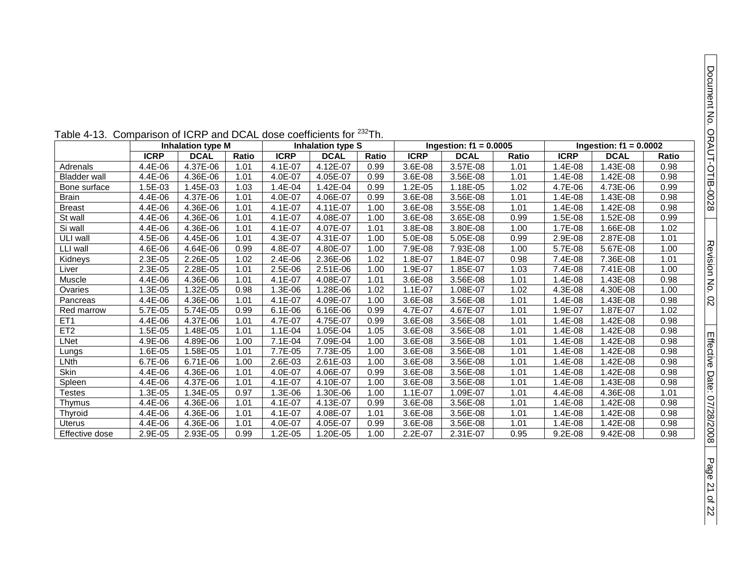|                     | <b>Inhalation type M</b> |             |       | Inhalation type S |             |       | Ingestion: $f1 = 0.0005$ |             |       | Ingestion: $f1 = 0.0002$ |             |       |
|---------------------|--------------------------|-------------|-------|-------------------|-------------|-------|--------------------------|-------------|-------|--------------------------|-------------|-------|
|                     | <b>ICRP</b>              | <b>DCAL</b> | Ratio | <b>ICRP</b>       | <b>DCAL</b> | Ratio | <b>ICRP</b>              | <b>DCAL</b> | Ratio | <b>ICRP</b>              | <b>DCAL</b> | Ratio |
| Adrenals            | 4.4E-06                  | 4.37E-06    | 1.01  | 4.1E-07           | 4.12E-07    | 0.99  | 3.6E-08                  | 3.57E-08    | 1.01  | 1.4E-08                  | 1.43E-08    | 0.98  |
| <b>Bladder wall</b> | 4.4E-06                  | 4.36E-06    | 1.01  | 4.0E-07           | 4.05E-07    | 0.99  | 3.6E-08                  | 3.56E-08    | 1.01  | 1.4E-08                  | 1.42E-08    | 0.98  |
| Bone surface        | 1.5E-03                  | 1.45E-03    | 1.03  | 1.4E-04           | 1.42E-04    | 0.99  | 1.2E-05                  | 1.18E-05    | 1.02  | 4.7E-06                  | 4.73E-06    | 0.99  |
| <b>Brain</b>        | 4.4E-06                  | 4.37E-06    | 1.01  | 4.0E-07           | 4.06E-07    | 0.99  | 3.6E-08                  | 3.56E-08    | 1.01  | 1.4E-08                  | 1.43E-08    | 0.98  |
| <b>Breast</b>       | 4.4E-06                  | 4.36E-06    | 1.01  | 4.1E-07           | 4.11E-07    | 1.00  | 3.6E-08                  | 3.55E-08    | 1.01  | 1.4E-08                  | 1.42E-08    | 0.98  |
| St wall             | 4.4E-06                  | 4.36E-06    | 1.01  | 4.1E-07           | 4.08E-07    | 1.00  | 3.6E-08                  | 3.65E-08    | 0.99  | 1.5E-08                  | 1.52E-08    | 0.99  |
| Si wall             | 4.4E-06                  | 4.36E-06    | 1.01  | 4.1E-07           | 4.07E-07    | 1.01  | 3.8E-08                  | 3.80E-08    | 1.00  | 1.7E-08                  | 1.66E-08    | 1.02  |
| ULI wall            | 4.5E-06                  | 4.45E-06    | 1.01  | 4.3E-07           | 4.31E-07    | 1.00  | 5.0E-08                  | 5.05E-08    | 0.99  | 2.9E-08                  | 2.87E-08    | 1.01  |
| LLI wall            | 4.6E-06                  | 4.64E-06    | 0.99  | 4.8E-07           | 4.80E-07    | 1.00  | 7.9E-08                  | 7.93E-08    | 1.00  | 5.7E-08                  | 5.67E-08    | 1.00  |
| Kidneys             | 2.3E-05                  | 2.26E-05    | 1.02  | 2.4E-06           | 2.36E-06    | 1.02  | 1.8E-07                  | 1.84E-07    | 0.98  | 7.4E-08                  | 7.36E-08    | 1.01  |
| Liver               | 2.3E-05                  | 2.28E-05    | 1.01  | 2.5E-06           | 2.51E-06    | 1.00  | 1.9E-07                  | 1.85E-07    | 1.03  | 7.4E-08                  | 7.41E-08    | 1.00  |
| Muscle              | 4.4E-06                  | 4.36E-06    | 1.01  | 4.1E-07           | 4.08E-07    | 1.01  | 3.6E-08                  | 3.56E-08    | 1.01  | 1.4E-08                  | 1.43E-08    | 0.98  |
| Ovaries             | 1.3E-05                  | 1.32E-05    | 0.98  | 1.3E-06           | .28E-06     | 1.02  | $1.1E-07$                | 1.08E-07    | 1.02  | $4.3E-08$                | 4.30E-08    | 1.00  |
| Pancreas            | 4.4E-06                  | 4.36E-06    | 1.01  | 4.1E-07           | 4.09E-07    | 1.00  | 3.6E-08                  | 3.56E-08    | 1.01  | 1.4E-08                  | 1.43E-08    | 0.98  |
| Red marrow          | 5.7E-05                  | 5.74E-05    | 0.99  | $6.1E-06$         | 6.16E-06    | 0.99  | 4.7E-07                  | 4.67E-07    | 1.01  | 1.9E-07                  | 1.87E-07    | 1.02  |
| ET <sub>1</sub>     | 4.4E-06                  | 4.37E-06    | 1.01  | 4.7E-07           | 4.75E-07    | 0.99  | 3.6E-08                  | 3.56E-08    | 1.01  | 1.4E-08                  | 1.42E-08    | 0.98  |
| ET <sub>2</sub>     | 1.5E-05                  | 1.48E-05    | 1.01  | $1.1E - 04$       | 1.05E-04    | 1.05  | 3.6E-08                  | 3.56E-08    | 1.01  | 1.4E-08                  | 1.42E-08    | 0.98  |
| LNet                | 4.9E-06                  | 4.89E-06    | 1.00  | 7.1E-04           | 7.09E-04    | 1.00  | 3.6E-08                  | 3.56E-08    | 1.01  | 1.4E-08                  | 1.42E-08    | 0.98  |
| Lungs               | 1.6E-05                  | 1.58E-05    | 1.01  | 7.7E-05           | 7.73E-05    | 1.00  | 3.6E-08                  | 3.56E-08    | 1.01  | 1.4E-08                  | .42E-08     | 0.98  |
| LNth                | 6.7E-06                  | 6.71E-06    | 1.00  | 2.6E-03           | 2.61E-03    | 1.00  | 3.6E-08                  | 3.56E-08    | 1.01  | 1.4E-08                  | $.42E-08$   | 0.98  |
| Skin                | 4.4E-06                  | 4.36E-06    | 1.01  | 4.0E-07           | 4.06E-07    | 0.99  | 3.6E-08                  | 3.56E-08    | 1.01  | 1.4E-08                  | .42E-08     | 0.98  |
| Spleen              | 4.4E-06                  | 4.37E-06    | 1.01  | 4.1E-07           | 4.10E-07    | 1.00  | 3.6E-08                  | 3.56E-08    | 1.01  | 1.4E-08                  | 1.43E-08    | 0.98  |
| <b>Testes</b>       | 1.3E-05                  | 1.34E-05    | 0.97  | 1.3E-06           | 1.30E-06    | 1.00  | $1.1E-07$                | 1.09E-07    | 1.01  | 4.4E-08                  | 4.36E-08    | 1.01  |
| Thymus              | 4.4E-06                  | 4.36E-06    | 1.01  | 4.1E-07           | 4.13E-07    | 0.99  | 3.6E-08                  | 3.56E-08    | 1.01  | 1.4E-08                  | .42E-08     | 0.98  |
| Thyroid             | 4.4E-06                  | 4.36E-06    | 1.01  | 4.1E-07           | 4.08E-07    | 1.01  | 3.6E-08                  | 3.56E-08    | 1.01  | 1.4E-08                  | 1.42E-08    | 0.98  |
| Uterus              | 4.4E-06                  | 4.36E-06    | 1.01  | 4.0E-07           | 4.05E-07    | 0.99  | 3.6E-08                  | 3.56E-08    | 1.01  | 1.4E-08                  | 1.42E-08    | 0.98  |
| Effective dose      | 2.9E-05                  | 2.93E-05    | 0.99  | $1.2E - 05$       | 1.20E-05    | 1.00  | $2.2E-07$                | 2.31E-07    | 0.95  | $9.2E - 08$              | 9.42E-08    | 0.98  |

Table 4-13. Comparison of ICRP and DCAL dose coefficients for <sup>232</sup>Th.